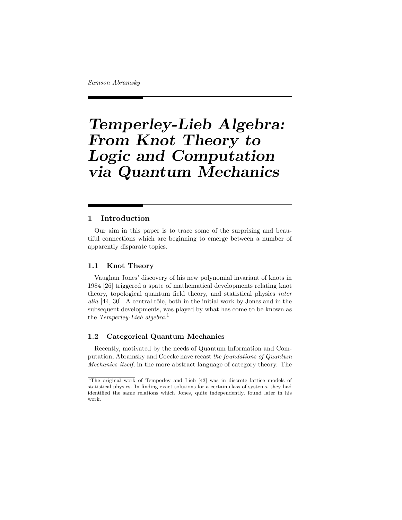# Temperley-Lieb Algebra: From Knot Theory to Logic and Computation via Quantum Mechanics

# 1 Introduction

Our aim in this paper is to trace some of the surprising and beautiful connections which are beginning to emerge between a number of apparently disparate topics.

## 1.1 Knot Theory

Vaughan Jones' discovery of his new polynomial invariant of knots in 1984 [26] triggered a spate of mathematical developments relating knot theory, topological quantum field theory, and statistical physics inter alia  $[44, 30]$ . A central rôle, both in the initial work by Jones and in the subsequent developments, was played by what has come to be known as the Temperley-Lieb algebra.<sup>1</sup>

# 1.2 Categorical Quantum Mechanics

Recently, motivated by the needs of Quantum Information and Computation, Abramsky and Coecke have recast the foundations of Quantum Mechanics itself, in the more abstract language of category theory. The

<sup>1</sup>The original work of Temperley and Lieb [43] was in discrete lattice models of statistical physics. In finding exact solutions for a certain class of systems, they had identified the same relations which Jones, quite independently, found later in his work.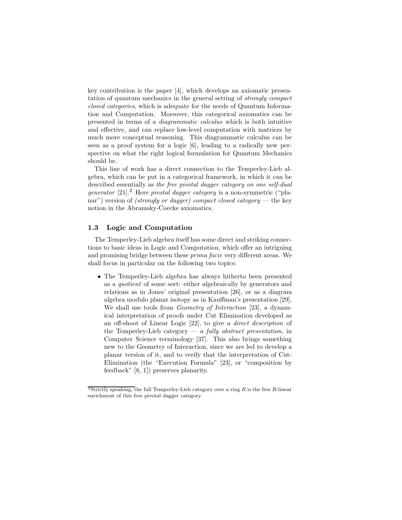key contribution is the paper [4], which develops an axiomatic presentation of quantum mechanics in the general setting of strongly compact closed categories, which is adequate for the needs of Quantum Information and Computation. Moreover, this categorical axiomatics can be presented in terms of a diagrammatic calculus which is both intuitive and effective, and can replace low-level computation with matrices by much more conceptual reasoning. This diagrammatic calculus can be seen as a proof system for a logic [6], leading to a radically new perspective on what the right logical formulation for Quantum Mechanics should be.

This line of work has a direct connection to the Temperley-Lieb algebra, which can be put in a categorical framework, in which it can be described essentially as the free pivotal dagger category on one self-dual *generator* [21].<sup>2</sup> Here *pivotal dagger category* is a non-symmetric ("planar") version of *(strongly or dagger)* compact closed category — the key notion in the Abramsky-Coecke axiomatics.

# 1.3 Logic and Computation

The Temperley-Lieb algebra itself has some direct and striking connections to basic ideas in Logic and Computation, which offer an intriguing and promising bridge between these prima facie very different areas. We shall focus in particular on the following two topics:

• The Temperley-Lieb algebra has always hitherto been presented as a quotient of some sort: either algebraically by generators and relations as in Jones' original presentation [26], or as a diagram algebra modulo planar isotopy as in Kauffman's presentation [29]. We shall use tools from *Geometry of Interaction* [23], a dynamical interpretation of proofs under Cut Elimination developed as an off-shoot of Linear Logic [22], to give a direct description of the Temperley-Lieb category  $-$  a *fully abstract presentation*, in Computer Science terminology [37]. This also brings something new to the Geometry of Interaction, since we are led to develop a planar version of it, and to verify that the interpretation of Cut-Elimination (the "Execution Formula" [23], or "composition by feedback" [8, 1]) preserves planarity.

 $2Strictly speaking, the full Temperature property-Lieb category over a ring R is the free R-linear$ enrichment of this free pivotal dagger category.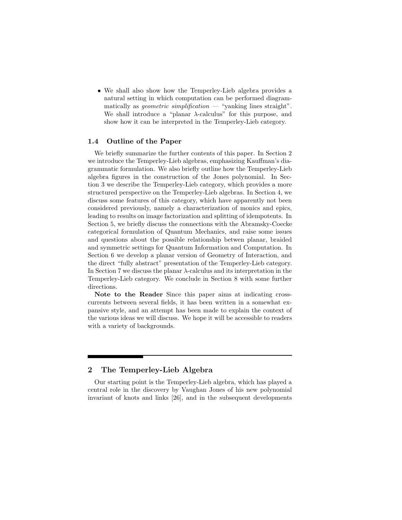• We shall also show how the Temperley-Lieb algebra provides a natural setting in which computation can be performed diagrammatically as *geometric simplification* — "yanking lines straight". We shall introduce a "planar  $\lambda$ -calculus" for this purpose, and show how it can be interpreted in the Temperley-Lieb category.

## 1.4 Outline of the Paper

We briefly summarize the further contents of this paper. In Section 2 we introduce the Temperley-Lieb algebras, emphasizing Kauffman's diagrammatic formulation. We also briefly outline how the Temperley-Lieb algebra figures in the construction of the Jones polynomial. In Section 3 we describe the Temperley-Lieb category, which provides a more structured perspective on the Temperley-Lieb algebras. In Section 4, we discuss some features of this category, which have apparently not been considered previously, namely a characterization of monics and epics, leading to results on image factorization and splitting of idempotents. In Section 5, we briefly discuss the connections with the Abramsky-Coecke categorical formulation of Quantum Mechanics, and raise some issues and questions about the possible relationship betwen planar, braided and symmetric settings for Quantum Information and Computation. In Section 6 we develop a planar version of Geometry of Interaction, and the direct "fully abstract" presentation of the Temperley-Lieb category. In Section 7 we discuss the planar  $\lambda$ -calculus and its interpretation in the Temperley-Lieb category. We conclude in Section 8 with some further directions.

Note to the Reader Since this paper aims at indicating crosscurrents between several fields, it has been written in a somewhat expansive style, and an attempt has been made to explain the context of the various ideas we will discuss. We hope it will be accessible to readers with a variety of backgrounds.

# 2 The Temperley-Lieb Algebra

Our starting point is the Temperley-Lieb algebra, which has played a central role in the discovery by Vaughan Jones of his new polynomial invariant of knots and links [26], and in the subsequent developments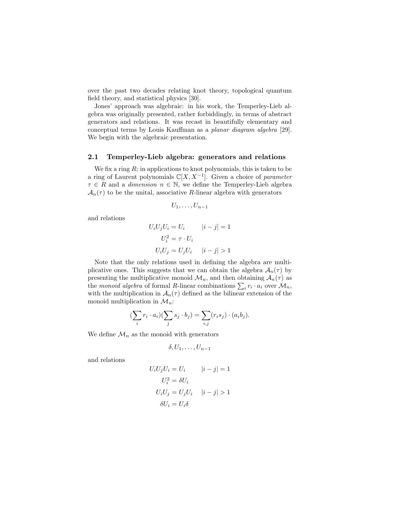over the past two decades relating knot theory, topological quantum field theory, and statistical physics [30].

Jones' approach was algebraic: in his work, the Temperley-Lieb algebra was originally presented, rather forbiddingly, in terms of abstract generators and relations. It was recast in beautifully elementary and conceptual terms by Louis Kauffman as a planar diagram algebra [29]. We begin with the algebraic presentation.

#### 2.1 Temperley-Lieb algebra: generators and relations

We fix a ring  $R$ ; in applications to knot polynomials, this is taken to be a ring of Laurent polynomials  $\mathbb{C}[X, X^{-1}]$ . Given a choice of *parameter*  $\tau \in R$  and a *dimension*  $n \in \mathbb{N}$ , we define the Temperley-Lieb algebra  $\mathcal{A}_n(\tau)$  to be the unital, associative R-linear algebra with generators

$$
U_1,\ldots,U_{n-1}
$$

and relations

$$
U_i U_j U_i = U_i \qquad |i - j| = 1
$$

$$
U_i^2 = \tau \cdot U_i
$$

$$
U_i U_j = U_j U_i \qquad |i - j| > 1
$$

Note that the only relations used in defining the algebra are multiplicative ones. This suggests that we can obtain the algebra  $A_n(\tau)$  by presenting the multiplicative monoid  $\mathcal{M}_n$ , and then obtaining  $\mathcal{A}_n(\tau)$  as the monoid algebra of formal R-linear combinations  $\sum_i r_i \cdot a_i$  over  $\mathcal{M}_n$ , with the multiplication in  $\mathcal{A}_n(\tau)$  defined as the bilinear extension of the monoid multiplication in  $\mathcal{M}_n$ :

$$
(\sum_i r_i \cdot a_i)(\sum_j s_j \cdot b_j) = \sum_{i,j} (r_i s_j) \cdot (a_i b_j).
$$

We define  $\mathcal{M}_n$  as the monoid with generators

$$
\delta, U_1, \ldots, U_{n-1}
$$

and relations

$$
U_i U_j U_i = U_i \t\t |i - j| = 1
$$
  

$$
U_i^2 = \delta U_i
$$
  

$$
U_i U_j = U_j U_i \t\t |i - j| > 1
$$
  

$$
\delta U_i = U_i \delta
$$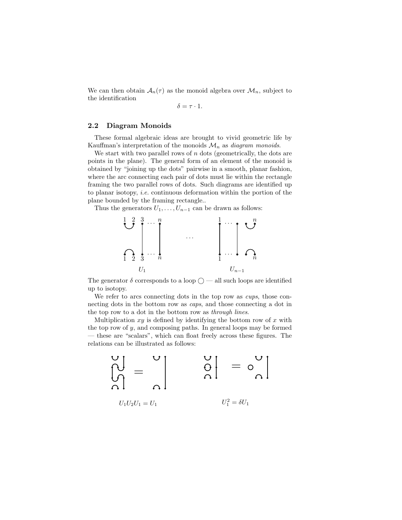We can then obtain  $A_n(\tau)$  as the monoid algebra over  $\mathcal{M}_n$ , subject to the identification

 $\delta = \tau \cdot 1$ .

# 2.2 Diagram Monoids

These formal algebraic ideas are brought to vivid geometric life by Kauffman's interpretation of the monoids  $\mathcal{M}_n$  as *diagram monoids*.

We start with two parallel rows of  $n$  dots (geometrically, the dots are points in the plane). The general form of an element of the monoid is obtained by "joining up the dots" pairwise in a smooth, planar fashion, where the arc connecting each pair of dots must lie within the rectangle framing the two parallel rows of dots. Such diagrams are identified up to planar isotopy, i.e. continuous deformation within the portion of the plane bounded by the framing rectangle..

Thus the generators  $U_1, \ldots, U_{n-1}$  can be drawn as follows:



The generator  $\delta$  corresponds to a loop  $\bigcirc$  — all such loops are identified up to isotopy.

We refer to arcs connecting dots in the top row as *cups*, those connecting dots in the bottom row as *caps*, and those connecting a dot in the top row to a dot in the bottom row as through lines.

Multiplication  $xy$  is defined by identifying the bottom row of  $x$  with the top row of  $y$ , and composing paths. In general loops may be formed — these are "scalars", which can float freely across these figures. The relations can be illustrated as follows:

$$
\left.\begin{matrix} \mathsf{U} \\ \mathsf{U} \\ \mathsf{O} \end{matrix}\right|_{U_1U_2U_1=U_1} \qquad \left.\begin{matrix} \mathsf{U} \\ \mathsf{O} \end{matrix}\right|_{U_1^2=\delta U_1} = \left.\begin{matrix} \mathsf{U} \\ \mathsf{O} \end{matrix}\right|_{U_1^2=\delta U_1}
$$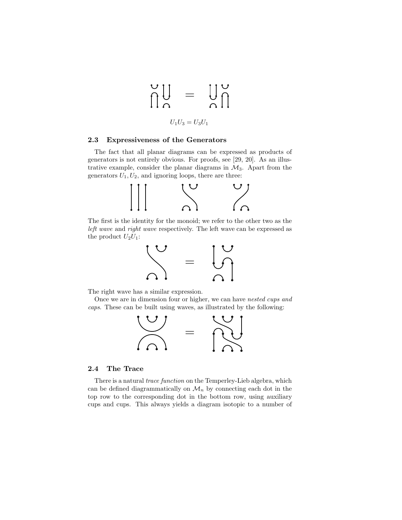$$
\bigcap_{U_1U_3=U_3U_1}^{U}\qquad \qquad \bigcup_{U_1U_3=U_3U_1}^{U}\bigcap_{U_1U_2=U_3U_1}^{U}
$$

# 2.3 Expressiveness of the Generators

The fact that all planar diagrams can be expressed as products of generators is not entirely obvious. For proofs, see [29, 20]. As an illustrative example, consider the planar diagrams in  $\mathcal{M}_3$ . Apart from the generators  $U_1, U_2$ , and ignoring loops, there are three:



The first is the identity for the monoid; we refer to the other two as the left wave and right wave respectively. The left wave can be expressed as the product  $U_2U_1$ :



The right wave has a similar expression.

Once we are in dimension four or higher, we can have nested cups and caps. These can be built using waves, as illustrated by the following:



#### 2.4 The Trace

There is a natural *trace function* on the Temperley-Lieb algebra, which can be defined diagrammatically on  $\mathcal{M}_n$  by connecting each dot in the top row to the corresponding dot in the bottom row, using auxiliary cups and cups. This always yields a diagram isotopic to a number of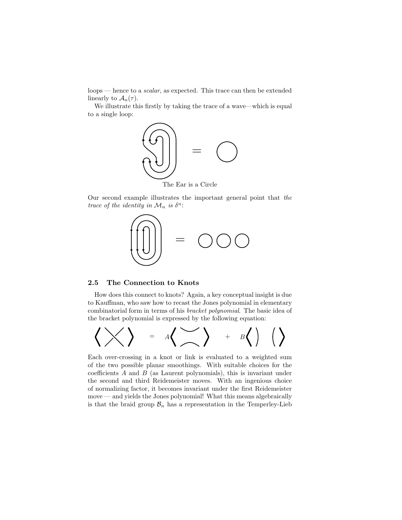loops — hence to a scalar, as expected. This trace can then be extended linearly to  $\mathcal{A}_n(\tau)$ .

We illustrate this firstly by taking the trace of a wave—which is equal to a single loop:



The Ear is a Circle

Our second example illustrates the important general point that the trace of the identity in  $\mathcal{M}_n$  is  $\delta^n$ :



## 2.5 The Connection to Knots

How does this connect to knots? Again, a key conceptual insight is due to Kauffman, who saw how to recast the Jones polynomial in elementary combinatorial form in terms of his bracket polynomial. The basic idea of the bracket polynomial is expressed by the following equation:



Each over-crossing in a knot or link is evaluated to a weighted sum of the two possible planar smoothings. With suitable choices for the coefficients  $A$  and  $B$  (as Laurent polynomials), this is invariant under the second and third Reidemeister moves. With an ingenious choice of normalizing factor, it becomes invariant under the first Reidemeister move — and yields the Jones polynomial! What this means algebraically is that the braid group  $\mathcal{B}_n$  has a representation in the Temperley-Lieb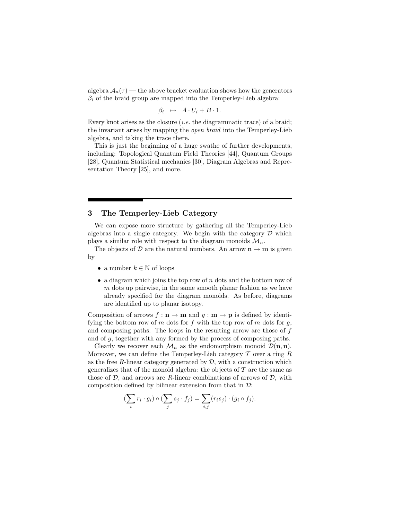algebra  $A_n(\tau)$  — the above bracket evaluation shows how the generators  $\beta_i$  of the braid group are mapped into the Temperley-Lieb algebra:

$$
\beta_i \mapsto A \cdot U_i + B \cdot 1.
$$

Every knot arises as the closure  $(i.e.$  the diagrammatic trace) of a braid; the invariant arises by mapping the open braid into the Temperley-Lieb algebra, and taking the trace there.

This is just the beginning of a huge swathe of further developments, including: Topological Quantum Field Theories [44], Quantum Groups [28], Quantum Statistical mechanics [30], Diagram Algebras and Representation Theory [25], and more.

# 3 The Temperley-Lieb Category

We can expose more structure by gathering all the Temperley-Lieb algebras into a single category. We begin with the category  $\mathcal D$  which plays a similar role with respect to the diagram monoids  $\mathcal{M}_n$ .

The objects of D are the natural numbers. An arrow  $\mathbf{n} \to \mathbf{m}$  is given by

- a number  $k \in \mathbb{N}$  of loops
- a diagram which joins the top row of  $n$  dots and the bottom row of  $m$  dots up pairwise, in the same smooth planar fashion as we have already specified for the diagram monoids. As before, diagrams are identified up to planar isotopy.

Composition of arrows  $f: \mathbf{n} \to \mathbf{m}$  and  $g: \mathbf{m} \to \mathbf{p}$  is defined by identifying the bottom row of m dots for f with the top row of m dots for  $g$ , and composing paths. The loops in the resulting arrow are those of f and of g, together with any formed by the process of composing paths.

Clearly we recover each  $\mathcal{M}_n$  as the endomorphism monoid  $\mathcal{D}(n, n)$ . Moreover, we can define the Temperley-Lieb category  $\mathcal T$  over a ring  $R$ as the free R-linear category generated by  $\mathcal{D}$ , with a construction which generalizes that of the monoid algebra: the objects of  $\mathcal T$  are the same as those of  $D$ , and arrows are R-linear combinations of arrows of  $D$ , with composition defined by bilinear extension from that in  $\mathcal{D}$ :

$$
\left(\sum_{i} r_i \cdot g_i\right) \circ \left(\sum_{j} s_j \cdot f_j\right) = \sum_{i,j} (r_i s_j) \cdot (g_i \circ f_j).
$$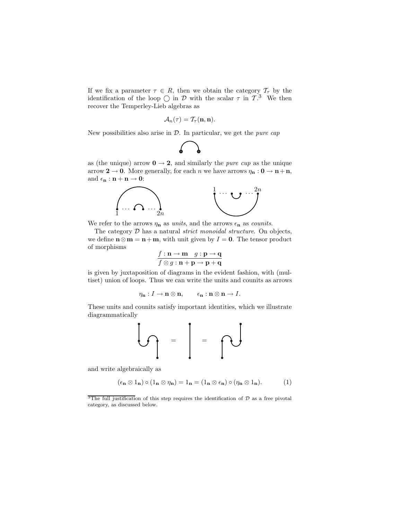If we fix a parameter  $\tau \in R$ , then we obtain the category  $\mathcal{T}_{\tau}$  by the identification of the loop  $\bigcirc$  in D with the scalar  $\tau$  in  $\mathcal{T}$ .<sup>3</sup> We then recover the Temperley-Lieb algebras as

$$
\mathcal{A}_n(\tau)=\mathcal{T}_\tau({\bf n},{\bf n}).
$$

New possibilities also arise in  $\mathcal{D}$ . In particular, we get the *pure cap* 



as (the unique) arrow  $0 \rightarrow 2$ , and similarly the *pure cup* as the unique arrow  $2 \rightarrow 0$ . More generally, for each *n* we have arrows  $\eta_{n}: 0 \rightarrow n+n$ , and  $\epsilon_{\mathbf{n}} : \mathbf{n} + \mathbf{n} \to \mathbf{0}$ :



We refer to the arrows  $\eta_n$  as units, and the arrows  $\epsilon_n$  as counits.

The category  $D$  has a natural *strict monoidal structure*. On objects, we define  $n \otimes m = n+m$ , with unit given by  $I = 0$ . The tensor product of morphisms

$$
\frac{f: \mathbf{n} \to \mathbf{m} \quad g: \mathbf{p} \to \mathbf{q}}{f \otimes g: \mathbf{n} + \mathbf{p} \to \mathbf{p} + \mathbf{q}}
$$

is given by juxtaposition of diagrams in the evident fashion, with (multiset) union of loops. Thus we can write the units and counits as arrows

$$
\eta_{\mathbf{n}}: I \to \mathbf{n} \otimes \mathbf{n}, \qquad \epsilon_{\mathbf{n}}: \mathbf{n} \otimes \mathbf{n} \to I.
$$

These units and counits satisfy important identities, which we illustrate diagrammatically



and write algebraically as

$$
(\epsilon_{\mathbf{n}} \otimes 1_{\mathbf{n}}) \circ (1_{\mathbf{n}} \otimes \eta_{\mathbf{n}}) = 1_{\mathbf{n}} = (1_{\mathbf{n}} \otimes \epsilon_{\mathbf{n}}) \circ (\eta_{\mathbf{n}} \otimes 1_{\mathbf{n}}). \tag{1}
$$

<sup>&</sup>lt;sup>3</sup>The full justification of this step requires the identification of  $D$  as a free pivotal category, as discussed below.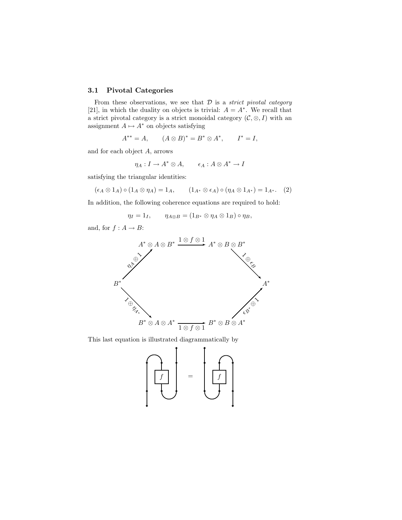# 3.1 Pivotal Categories

From these observations, we see that  $D$  is a *strict pivotal category* [21], in which the duality on objects is trivial:  $A = A^*$ . We recall that a strict pivotal category is a strict monoidal category  $(C, \otimes, I)$  with an assignment  $A \mapsto A^*$  on objects satisfying

$$
A^{**} = A,
$$
  $(A \otimes B)^* = B^* \otimes A^*,$   $I^* = I,$ 

and for each object A, arrows

$$
\eta_A: I \to A^* \otimes A, \qquad \epsilon_A: A \otimes A^* \to I
$$

satisfying the triangular identities:

$$
(\epsilon_A \otimes 1_A) \circ (1_A \otimes \eta_A) = 1_A, \qquad (1_{A^*} \otimes \epsilon_A) \circ (\eta_A \otimes 1_{A^*}) = 1_{A^*}. \tag{2}
$$

In addition, the following coherence equations are required to hold:

 $\eta_I = 1_I, \qquad \eta_{A \otimes B} = (1_{B^*} \otimes \eta_A \otimes 1_B) \circ \eta_B,$ 

and, for  $f : A \rightarrow B$ :



This last equation is illustrated diagrammatically by

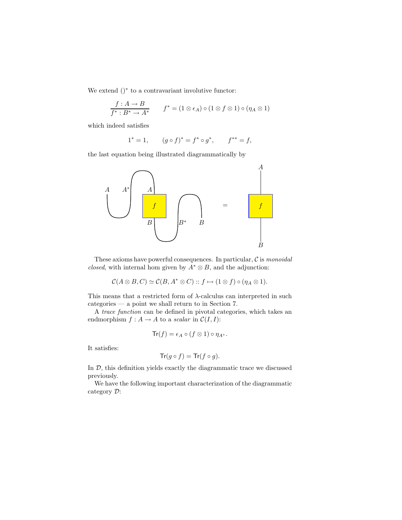We extend ()<sup>∗</sup> to a contravariant involutive functor:

$$
\frac{f:A \to B}{f^*:B^* \to A^*} \qquad f^* = (1 \otimes \epsilon_A) \circ (1 \otimes f \otimes 1) \circ (\eta_A \otimes 1)
$$

which indeed satisfies

$$
1^* = 1, \qquad (g \circ f)^* = f^* \circ g^*, \qquad f^{**} = f,
$$

the last equation being illustrated diagrammatically by



These axioms have powerful consequences. In particular,  $\mathcal C$  is monoidal closed, with internal hom given by  $A^* \otimes B$ , and the adjunction:

$$
\mathcal{C}(A\otimes B,C)\simeq \mathcal{C}(B,A^*\otimes C)\::\: f\mapsto (1\otimes f)\circ (\eta_A\otimes 1).
$$

This means that a restricted form of  $\lambda$ -calculus can interpreted in such categories — a point we shall return to in Section 7.

A trace function can be defined in pivotal categories, which takes an endmorphism  $f : A \to A$  to a scalar in  $C(I, I)$ :

$$
\operatorname{Tr}(f) = \epsilon_A \circ (f \otimes 1) \circ \eta_{A^*}.
$$

It satisfies:

$$
\mathsf{Tr}(g \circ f) = \mathsf{Tr}(f \circ g).
$$

In  $D$ , this definition yields exactly the diagrammatic trace we discussed previously.

We have the following important characterization of the diagrammatic category D: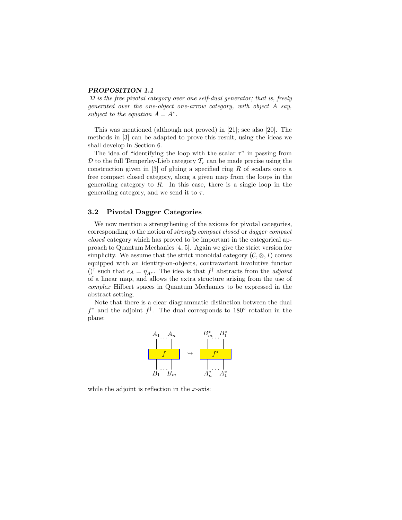# PROPOSITION 1.1

 $\mathcal D$  is the free pivotal category over one self-dual generator; that is, freely generated over the one-object one-arrow category, with object A say, subject to the equation  $A = A^*$ .

This was mentioned (although not proved) in [21]; see also [20]. The methods in [3] can be adapted to prove this result, using the ideas we shall develop in Section 6.

The idea of "identifying the loop with the scalar  $\tau$ " in passing from D to the full Temperley-Lieb category  $\mathcal{T}_{\tau}$  can be made precise using the construction given in  $[3]$  of gluing a specified ring R of scalars onto a free compact closed category, along a given map from the loops in the generating category to  $R$ . In this case, there is a single loop in the generating category, and we send it to  $\tau$ .

# 3.2 Pivotal Dagger Categories

We now mention a strengthening of the axioms for pivotal categories, corresponding to the notion of strongly compact closed or dagger compact closed category which has proved to be important in the categorical approach to Quantum Mechanics [4, 5]. Again we give the strict version for simplicity. We assume that the strict monoidal category  $(C, \otimes, I)$  comes equipped with an identity-on-objects, contravariant involutive functor  $()^{\dagger}$  such that  $\epsilon_A = \eta_{A^*}^{\dagger}$ . The idea is that  $f^{\dagger}$  abstracts from the *adjoint* of a linear map, and allows the extra structure arising from the use of complex Hilbert spaces in Quantum Mechanics to be expressed in the abstract setting.

Note that there is a clear diagrammatic distinction between the dual  $f^*$  and the adjoint  $f^{\dagger}$ . The dual corresponds to 180° rotation in the plane:



while the adjoint is reflection in the  $x$ -axis: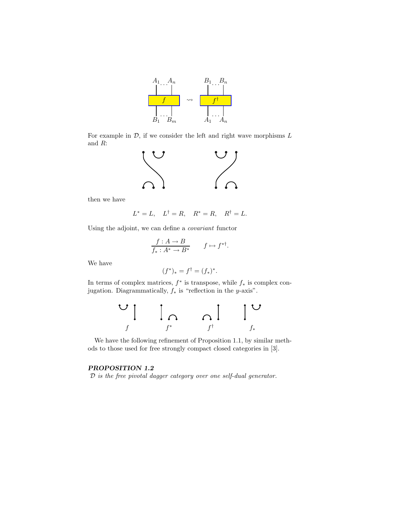

For example in  $D$ , if we consider the left and right wave morphisms  $L$ and R:



then we have

$$
L^* = L, \quad L^{\dagger} = R, \quad R^* = R, \quad R^{\dagger} = L.
$$

Using the adjoint, we can define a covariant functor

$$
\frac{f:A \to B}{f_*: A^* \to B^*} \qquad f \mapsto f^{*^{\dagger}}.
$$

We have

$$
(f^*)_* = f^{\dagger} = (f_*)^*.
$$

In terms of complex matrices,  $f^*$  is transpose, while  $f_*$  is complex conjugation. Diagrammatically,  $f_*$  is "reflection in the y-axis".



We have the following refinement of Proposition 1.1, by similar methods to those used for free strongly compact closed categories in [3].

# PROPOSITION 1.2

D is the free pivotal dagger category over one self-dual generator.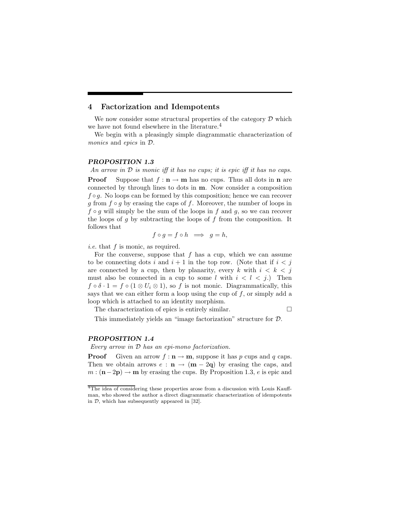# 4 Factorization and Idempotents

We now consider some structural properties of the category  $D$  which we have not found elsewhere in the literature.<sup>4</sup>

We begin with a pleasingly simple diagrammatic characterization of monics and epics in D.

## PROPOSITION 1.3

An arrow in  $D$  is monic iff it has no cups; it is epic iff it has no caps. **Proof** Suppose that  $f : \mathbf{n} \to \mathbf{m}$  has no cups. Thus all dots in  $\mathbf{n}$  are connected by through lines to dots in m. Now consider a composition  $f \circ g$ . No loops can be formed by this composition; hence we can recover g from  $f \circ g$  by erasing the caps of f. Moreover, the number of loops in  $f \circ q$  will simply be the sum of the loops in f and q, so we can recover the loops of g by subtracting the loops of f from the composition. It follows that

$$
f \circ g = f \circ h \implies g = h,
$$

i.e. that f is monic, as required.

For the converse, suppose that  $f$  has a cup, which we can assume to be connecting dots i and  $i + 1$  in the top row. (Note that if  $i < j$ are connected by a cup, then by planarity, every k with  $i < k < j$ must also be connected in a cup to some l with  $i < l < j$ .) Then  $f \circ \delta \cdot 1 = f \circ (1 \otimes U_i \otimes 1)$ , so f is not monic. Diagrammatically, this says that we can either form a loop using the cup of  $f$ , or simply add a loop which is attached to an identity morphism.

The characterization of epics is entirely similar.  $\Box$ 

This immediately yields an "image factorization" structure for D.

#### PROPOSITION 1.4

Every arrow in D has an epi-mono factorization.

**Proof** Given an arrow  $f: \mathbf{n} \to \mathbf{m}$ , suppose it has p cups and q caps. Then we obtain arrows  $e : \mathbf{n} \to (\mathbf{m} - 2\mathbf{q})$  by erasing the caps, and  $m : (\mathbf{n} - 2\mathbf{p}) \to \mathbf{m}$  by erasing the cups. By Proposition 1.3, e is epic and

<sup>&</sup>lt;sup>4</sup>The idea of considering these properties arose from a discussion with Louis Kauffman, who showed the author a direct diagrammatic characterization of idempotents in D, which has subsequently appeared in [32].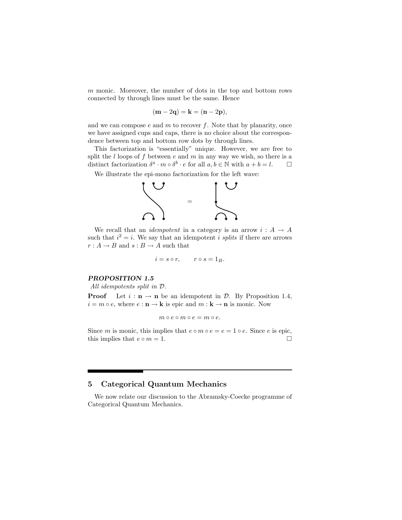$m$  monic. Moreover, the number of dots in the top and bottom rows connected by through lines must be the same. Hence

$$
(\mathbf{m} - 2\mathbf{q}) = \mathbf{k} = (\mathbf{n} - 2\mathbf{p}),
$$

and we can compose  $e$  and  $m$  to recover  $f$ . Note that by planarity, once we have assigned cups and caps, there is no choice about the correspondence between top and bottom row dots by through lines.

This factorization is "essentially" unique. However, we are free to split the  $l$  loops of  $f$  between  $e$  and  $m$  in any way we wish, so there is a distinct factorization  $\delta^a \cdot m \circ \delta^b \cdot e$  for all  $a, b \in \mathbb{N}$  with  $a + b = l$ .  $\Box$ 

We illustrate the epi-mono factorization for the left wave:



We recall that an *idempotent* in a category is an arrow  $i : A \rightarrow A$ such that  $i^2 = i$ . We say that an idempotent i splits if there are arrows  $r: A \rightarrow B$  and  $s: B \rightarrow A$  such that

$$
i = s \circ r, \qquad r \circ s = 1_B.
$$

#### PROPOSITION 1.5

All idempotents split in D.

**Proof** Let  $i : \mathbf{n} \to \mathbf{n}$  be an idempotent in  $\mathcal{D}$ . By Proposition 1.4,  $i = m \circ e$ , where  $e : \mathbf{n} \to \mathbf{k}$  is epic and  $m : \mathbf{k} \to \mathbf{n}$  is monic. Now

$$
m\circ e\circ m\circ e=m\circ e.
$$

Since m is monic, this implies that  $e \circ m \circ e = e = 1 \circ e$ . Since e is epic, this implies that  $e \circ m = 1$ .

# 5 Categorical Quantum Mechanics

We now relate our discussion to the Abramsky-Coecke programme of Categorical Quantum Mechanics.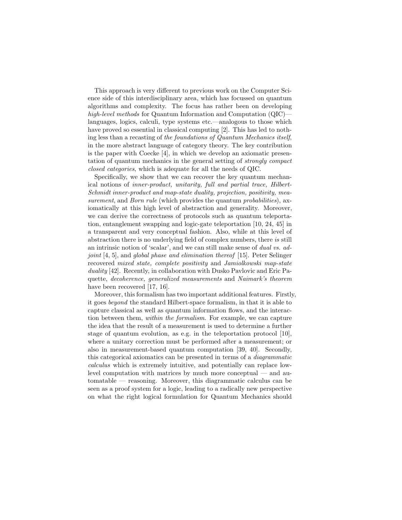This approach is very different to previous work on the Computer Science side of this interdisciplinary area, which has focussed on quantum algorithms and complexity. The focus has rather been on developing high-level methods for Quantum Information and Computation (QIC) languages, logics, calculi, type systems etc.—analogous to those which have proved so essential in classical computing [2]. This has led to nothing less than a recasting of the foundations of Quantum Mechanics itself, in the more abstract language of category theory. The key contribution is the paper with Coecke [4], in which we develop an axiomatic presentation of quantum mechanics in the general setting of strongly compact closed categories, which is adequate for all the needs of QIC.

Specifically, we show that we can recover the key quantum mechanical notions of inner-product, unitarity, full and partial trace, Hilbert-Schmidt inner-product and map-state duality, projection, positivity, measurement, and *Born rule* (which provides the quantum *probabilities*), axiomatically at this high level of abstraction and generality. Moreover, we can derive the correctness of protocols such as quantum teleportation, entanglement swapping and logic-gate teleportation [10, 24, 45] in a transparent and very conceptual fashion. Also, while at this level of abstraction there is no underlying field of complex numbers, there is still an intrinsic notion of 'scalar', and we can still make sense of dual vs. adjoint [4, 5], and global phase and elimination thereof [15]. Peter Selinger recovered mixed state, complete positivity and Jamiolkowski map-state duality [42]. Recently, in collaboration with Dusko Pavlovic and Eric Paquette, decoherence, generalized measurements and Naimark's theorem have been recovered [17, 16].

Moreover, this formalism has two important additional features. Firstly, it goes beyond the standard Hilbert-space formalism, in that it is able to capture classical as well as quantum information flows, and the interaction between them, within the formalism. For example, we can capture the idea that the result of a measurement is used to determine a further stage of quantum evolution, as e.g. in the teleportation protocol [10], where a unitary correction must be performed after a measurement; or also in measurement-based quantum computation [39, 40]. Secondly, this categorical axiomatics can be presented in terms of a diagrammatic calculus which is extremely intuitive, and potentially can replace lowlevel computation with matrices by much more conceptual — and automatable — reasoning. Moreover, this diagrammatic calculus can be seen as a proof system for a logic, leading to a radically new perspective on what the right logical formulation for Quantum Mechanics should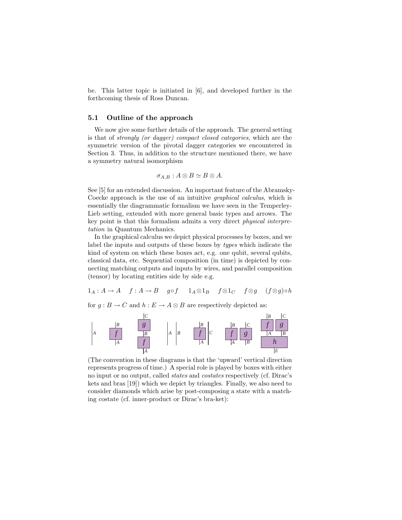be. This latter topic is initiated in [6], and developed further in the forthcoming thesis of Ross Duncan.

#### 5.1 Outline of the approach

We now give some further details of the approach. The general setting is that of strongly (or dagger) compact closed categories, which are the symmetric version of the pivotal dagger categories we encountered in Section 3. Thus, in addition to the structure mentioned there, we have a symmetry natural isomorphism

$$
\sigma_{A,B}: A \otimes B \simeq B \otimes A.
$$

See [5] for an extended discussion. An important feature of the Abramsky-Coecke approach is the use of an intuitive graphical calculus, which is essentially the diagrammatic formalism we have seen in the Temperley-Lieb setting, extended with more general basic types and arrows. The key point is that this formalism admits a very direct physical interpretation in Quantum Mechanics.

In the graphical calculus we depict physical processes by boxes, and we label the inputs and outputs of these boxes by types which indicate the kind of system on which these boxes act, e.g. one qubit, several qubits, classical data, etc. Sequential composition (in time) is depicted by connecting matching outputs and inputs by wires, and parallel composition (tensor) by locating entities side by side e.g.

$$
1_A: A \to A \quad f: A \to B \quad g \circ f \quad 1_A \otimes 1_B \quad f \otimes 1_C \quad f \otimes g \quad (f \otimes g) \circ h
$$

for  $q : B \to C$  and  $h : E \to A \otimes B$  are respectively depicted as:



(The convention in these diagrams is that the 'upward' vertical direction represents progress of time.) A special role is played by boxes with either no input or no output, called states and costates respectively (cf. Dirac's kets and bras [19]) which we depict by triangles. Finally, we also need to consider diamonds which arise by post-composing a state with a matching costate (cf. inner-product or Dirac's bra-ket):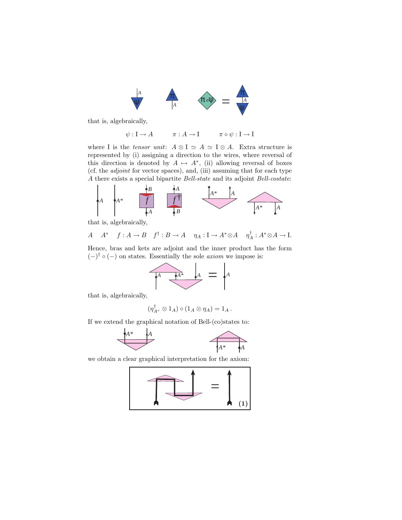

that is, algebraically,

$$
\psi: \mathcal{I} \to A \qquad \pi: A \to \mathcal{I} \qquad \pi \circ \psi: \mathcal{I} \to \mathcal{I}
$$

where I is the tensor unit:  $A \otimes I \simeq A \simeq I \otimes A$ . Extra structure is represented by (i) assigning a direction to the wires, where reversal of this direction is denoted by  $A \mapsto A^*$ , (ii) allowing reversal of boxes (cf. the adjoint for vector spaces), and, (iii) assuming that for each type A there exists a special bipartite Bell-state and its adjoint Bell-costate:



that is, algebraically,

$$
A \quad A^* \quad f: A \to B \quad f^{\dagger}: B \to A \quad \eta_A: I \to A^* \otimes A \quad \eta_A^{\dagger}: A^* \otimes A \to I.
$$

Hence, bras and kets are adjoint and the inner product has the form  $(-)$ <sup>†</sup> ∘ (-) on states. Essentially the sole *axiom* we impose is:



that is, algebraically,

$$
(\eta_{A^*}^{\dagger} \otimes 1_A) \circ (1_A \otimes \eta_A) = 1_A.
$$

If we extend the graphical notation of Bell-(co)states to:



we obtain a clear graphical interpretation for the axiom:

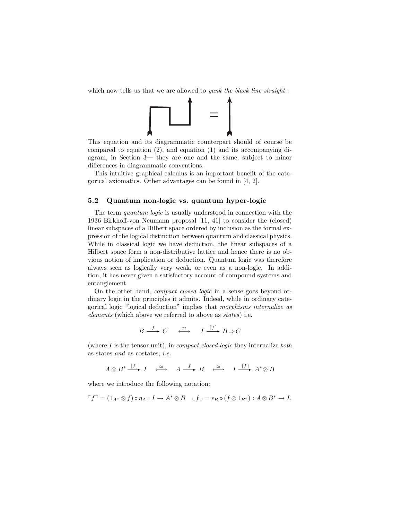which now tells us that we are allowed to *yank the black line straight*:



This equation and its diagrammatic counterpart should of course be compared to equation (2), and equation (1) and its accompanying diagram, in Section 3— they are one and the same, subject to minor differences in diagrammatic conventions.

This intuitive graphical calculus is an important benefit of the categorical axiomatics. Other advantages can be found in [4, 2].

# 5.2 Quantum non-logic vs. quantum hyper-logic

The term quantum logic is usually understood in connection with the 1936 Birkhoff-von Neumann proposal [11, 41] to consider the (closed) linear subspaces of a Hilbert space ordered by inclusion as the formal expression of the logical distinction between quantum and classical physics. While in classical logic we have deduction, the linear subspaces of a Hilbert space form a non-distributive lattice and hence there is no obvious notion of implication or deduction. Quantum logic was therefore always seen as logically very weak, or even as a non-logic. In addition, it has never given a satisfactory account of compound systems and entanglement.

On the other hand, compact closed logic in a sense goes beyond ordinary logic in the principles it admits. Indeed, while in ordinary categorical logic "logical deduction" implies that morphisms internalize as elements (which above we referred to above as states) i.e.

$$
B \xrightarrow{f} C \xrightarrow{\simeq} I \xrightarrow{[f]} B \Rightarrow C
$$

(where  $I$  is the tensor unit), in *compact closed logic* they internalize *both* as states and as costates, i.e.

$$
A \otimes B^* \xrightarrow{\lfloor f \rfloor} I \xrightarrow{\simeq} A \xrightarrow{f} B \xrightarrow{\simeq} I \xrightarrow{\lceil f \rceil} A^* \otimes B
$$

where we introduce the following notation:

$$
\ulcorner f\urcorner = (1_{A^*} \otimes f) \circ \eta_A : I \to A^* \otimes B \quad \ulcorner f \lrcorner = \epsilon_B \circ (f \otimes 1_{B^*}) : A \otimes B^* \to I.
$$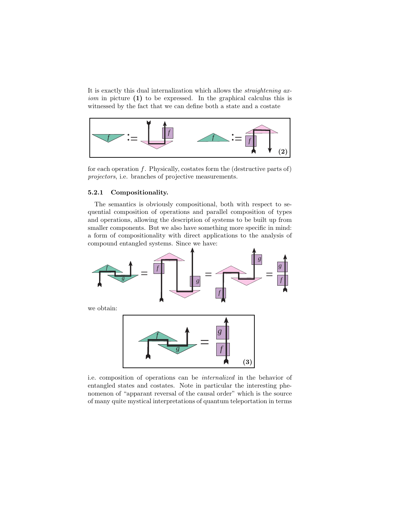It is exactly this dual internalization which allows the straightening axiom in picture (1) to be expressed. In the graphical calculus this is witnessed by the fact that we can define both a state and a costate



for each operation  $f$ . Physically, costates form the (destructive parts of) projectors, i.e. branches of projective measurements.

## 5.2.1 Compositionality.

The semantics is obviously compositional, both with respect to sequential composition of operations and parallel composition of types and operations, allowing the description of systems to be built up from smaller components. But we also have something more specific in mind: a form of compositionality with direct applications to the analysis of compound entangled systems. Since we have:



i.e. composition of operations can be internalized in the behavior of entangled states and costates. Note in particular the interesting phenomenon of "apparant reversal of the causal order" which is the source of many quite mystical interpretations of quantum teleportation in terms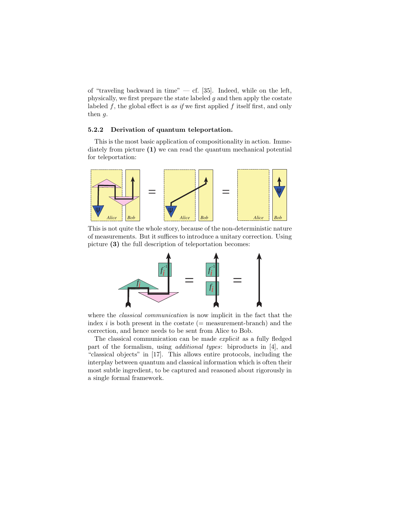of "traveling backward in time"  $-$  cf. [35]. Indeed, while on the left, physically, we first prepare the state labeled  $q$  and then apply the costate labeled  $f$ , the global effect is as if we first applied  $f$  itself first, and only then g.

# 5.2.2 Derivation of quantum teleportation.

This is the most basic application of compositionality in action. Immediately from picture (1) we can read the quantum mechanical potential for teleportation:



This is not quite the whole story, because of the non-deterministic nature of measurements. But it suffices to introduce a unitary correction. Using picture (3) the full description of teleportation becomes:



where the *classical communication* is now implicit in the fact that the index  $i$  is both present in the costate (= measurement-branch) and the correction, and hence needs to be sent from Alice to Bob.

The classical communication can be made explicit as a fully fledged part of the formalism, using additional types: biproducts in [4], and "classical objects" in [17]. This allows entire protocols, including the interplay between quantum and classical information which is often their most subtle ingredient, to be captured and reasoned about rigorously in a single formal framework.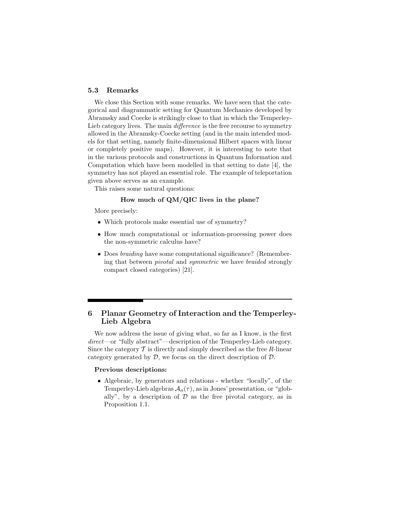# 5.3 Remarks

We close this Section with some remarks. We have seen that the categorical and diagrammatic setting for Quantum Mechanics developed by Abramsky and Coecke is strikingly close to that in which the Temperley-Lieb category lives. The main *difference* is the free recourse to symmetry allowed in the Abramsky-Coecke setting (and in the main intended models for that setting, namely finite-dimensional Hilbert spaces with linear or completely positive maps). However, it is interesting to note that in the various protocols and constructions in Quantum Information and Computation which have been modelled in that setting to date [4], the symmetry has not played an essential role. The example of teleportation given above serves as an example.

This raises some natural questions:

## How much of QM/QIC lives in the plane?

More precisely:

- Which protocols make essential use of symmetry?
- How much computational or information-processing power does the non-symmetric calculus have?
- Does braiding have some computational significance? (Remembering that between pivotal and symmetric we have braided strongly compact closed categories) [21].

# 6 Planar Geometry of Interaction and the Temperley-Lieb Algebra

We now address the issue of giving what, so far as I know, is the first direct—or "fully abstract"—description of the Temperley-Lieb category. Since the category  $T$  is directly and simply described as the free R-linear category generated by  $D$ , we focus on the direct description of  $D$ .

## Previous descriptions:

• Algebraic, by generators and relations - whether "locally", of the Temperley-Lieb algebras  $A_n(\tau)$ , as in Jones' presentation, or "globally", by a description of  $D$  as the free pivotal category, as in Proposition 1.1.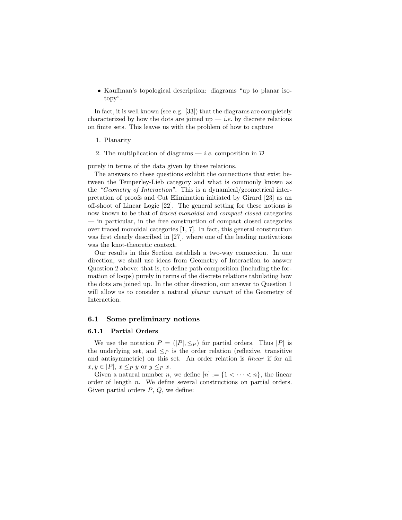• Kauffman's topological description: diagrams "up to planar isotopy".

In fact, it is well known (see e.g. [33]) that the diagrams are completely characterized by how the dots are joined up  $-i.e.$  by discrete relations on finite sets. This leaves us with the problem of how to capture

#### 1. Planarity

2. The multiplication of diagrams — *i.e.* composition in  $D$ 

purely in terms of the data given by these relations.

The answers to these questions exhibit the connections that exist between the Temperley-Lieb category and what is commonly known as the "Geometry of Interaction". This is a dynamical/geometrical interpretation of proofs and Cut Elimination initiated by Girard [23] as an off-shoot of Linear Logic [22]. The general setting for these notions is now known to be that of traced monoidal and compact closed categories — in particular, in the free construction of compact closed categories over traced monoidal categories [1, 7]. In fact, this general construction was first clearly described in [27], where one of the leading motivations was the knot-theoretic context.

Our results in this Section establish a two-way connection. In one direction, we shall use ideas from Geometry of Interaction to answer Question 2 above: that is, to define path composition (including the formation of loops) purely in terms of the discrete relations tabulating how the dots are joined up. In the other direction, our answer to Question 1 will allow us to consider a natural *planar variant* of the Geometry of Interaction.

#### 6.1 Some preliminary notions

#### 6.1.1 Partial Orders

We use the notation  $P = (|P|, \leq_P)$  for partial orders. Thus |P| is the underlying set, and  $\leq_P$  is the order relation (reflexive, transitive and antisymmetric) on this set. An order relation is linear if for all  $x, y \in |P|, x \leq_P y$  or  $y \leq_P x$ .

Given a natural number n, we define  $[n] := \{1 < \cdots < n\}$ , the linear order of length n. We define several constructions on partial orders. Given partial orders  $P, Q$ , we define: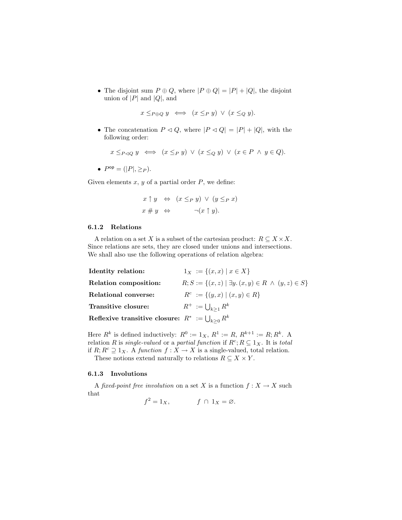• The disjoint sum  $P \oplus Q$ , where  $|P \oplus Q| = |P| + |Q|$ , the disjoint union of  $|P|$  and  $|Q|$ , and

$$
x \leq_{P \oplus Q} y \iff (x \leq_P y) \lor (x \leq_Q y).
$$

• The concatenation  $P \triangleleft Q$ , where  $|P \triangleleft Q| = |P| + |Q|$ , with the following order:

$$
x \leq_{P \triangleleft Q} y \iff (x \leq_P y) \lor (x \leq_Q y) \lor (x \in P \land y \in Q).
$$

•  $P^{op} = (|P|, \geq_P).$ 

Given elements  $x, y$  of a partial order  $P$ , we define:

$$
x \uparrow y \Leftrightarrow (x \leq_P y) \vee (y \leq_P x)
$$
  

$$
x \# y \Leftrightarrow \qquad \neg(x \uparrow y).
$$

# 6.1.2 Relations

A relation on a set X is a subset of the cartesian product:  $R \subseteq X \times X$ . Since relations are sets, they are closed under unions and intersections. We shall also use the following operations of relation algebra:

| Identity relation:                                       | $1_X := \{(x, x) \mid x \in X\}$                                        |
|----------------------------------------------------------|-------------------------------------------------------------------------|
| Relation composition:                                    | $R; S := \{(x, z)   \exists y \ldotp (x, y) \in R \land (y, z) \in S\}$ |
| Relational converse:                                     | $R^c := \{(y, x) \mid (x, y) \in R\}$                                   |
| Transitive closure:                                      | $R^+ := \bigcup_{k>1} R^k$                                              |
| Reflexive transitive closure: $R^* := \bigcup_{k>0} R^k$ |                                                                         |

Here  $R^k$  is defined inductively:  $R^0 := 1_X$ ,  $R^1 := R$ ,  $R^{k+1} := R$ ;  $R^k$ . A relation R is *single-valued* or a *partial function* if  $R^c$ ;  $R \subseteq 1_X$ . It is *total* if  $R; R^c \supseteq 1_X$ . A function  $f: X \to X$  is a single-valued, total relation.

These notions extend naturally to relations  $R \subseteq X \times Y$ .

#### 6.1.3 Involutions

A fixed-point free involution on a set X is a function  $f: X \to X$  such that

 $f^2 = 1_X,$   $f \cap 1_X = \emptyset.$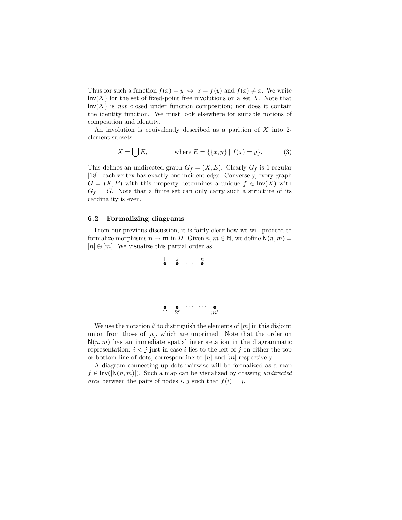Thus for such a function  $f(x) = y \Leftrightarrow x = f(y)$  and  $f(x) \neq x$ . We write  $\mathsf{Inv}(X)$  for the set of fixed-point free involutions on a set X. Note that  $Inv(X)$  is not closed under function composition; nor does it contain the identity function. We must look elsewhere for suitable notions of composition and identity.

An involution is equivalently described as a parition of  $X$  into 2element subsets:

$$
X = \bigcup E,
$$
 where  $E = \{\{x, y\} | f(x) = y\}.$  (3)

This defines an undirected graph  $G_f = (X, E)$ . Clearly  $G_f$  is 1-regular [18]: each vertex has exactly one incident edge. Conversely, every graph  $G = (X, E)$  with this property determines a unique  $f \in \mathsf{Inv}(X)$  with  $G_f = G$ . Note that a finite set can only carry such a structure of its cardinality is even.

#### 6.2 Formalizing diagrams

From our previous discussion, it is fairly clear how we will proceed to formalize morphisms  $\mathbf{n} \to \mathbf{m}$  in  $\mathcal{D}$ . Given  $n, m \in \mathbb{N}$ , we define  $\mathsf{N}(n, m) =$  $[n] \oplus [m]$ . We visualize this partial order as

$$
\begin{array}{cccc} 1 & 2 & \dots & n \\ \bullet & \bullet & \dots & \bullet \end{array}
$$

$$
\begin{array}{ccccc}\n\bullet & \bullet & \cdots & \cdots & \bullet \\
1' & 2' & & m'\n\end{array}
$$

We use the notation  $i'$  to distinguish the elements of  $[m]$  in this disjoint union from those of  $[n]$ , which are unprimed. Note that the order on  $N(n, m)$  has an immediate spatial interpretation in the diagrammatic representation:  $i < j$  just in case i lies to the left of j on either the top or bottom line of dots, corresponding to  $[n]$  and  $[m]$  respectively.

A diagram connecting up dots pairwise will be formalized as a map  $f \in Inv(|N(n,m)|)$ . Such a map can be visualized by drawing undirected arcs between the pairs of nodes i, j such that  $f(i) = j$ .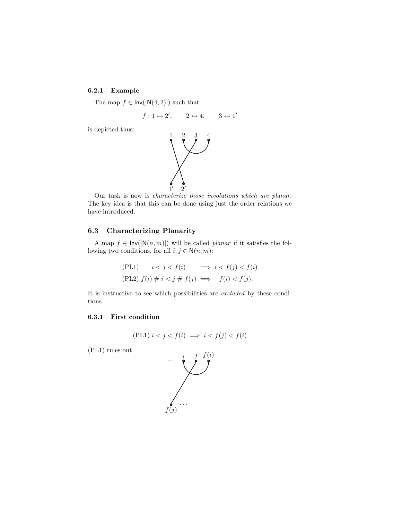# 6.2.1 Example

The map  $f \in Inv(|N(4,2)|)$  such that

$$
f: 1 \leftrightarrow 2', \qquad 2 \leftrightarrow 4, \qquad 3 \leftrightarrow 1'
$$

is depicted thus:



Our task is now is characterize those involutions which are planar. The key idea is that this can be done using just the order relations we have introduced.

# 6.3 Characterizing Planarity

A map  $f \in \text{Inv}(|N(n,m)|)$  will be called *planar* if it satisfies the following two conditions, for all  $i, j \in N(n, m)$ :

(PL1) 
$$
i < j < f(i)
$$
  $\implies i < f(j) < f(i)$   
(PL2)  $f(i) \neq i < j \neq f(j) \implies f(i) < f(j)$ .

It is instructive to see which possibilities are excluded by these conditions.

## 6.3.1 First condition

(PL1) 
$$
i < j < f(i) \implies i < f(j) < f(i)
$$

(PL1) rules out

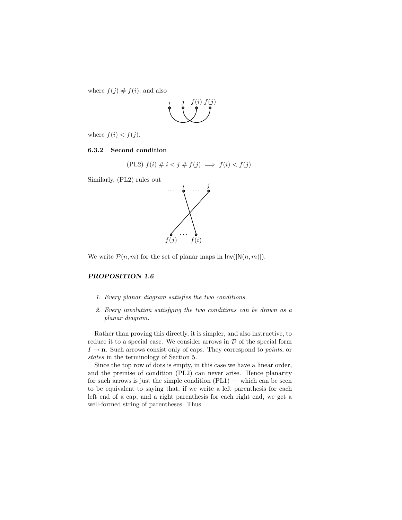where  $f(j) \# f(i)$ , and also



where  $f(i) < f(j)$ .

# 6.3.2 Second condition

$$
(PL2) f(i) \neq i < j \neq f(j) \implies f(i) < f(j).
$$

Similarly, (PL2) rules out



We write  $\mathcal{P}(n,m)$  for the set of planar maps in  $\text{Inv}(|\mathbb{N}(n,m)|)$ .

# PROPOSITION 1.6

- 1. Every planar diagram satisfies the two conditions.
- 2. Every involution satisfying the two conditions can be drawn as a planar diagram.

Rather than proving this directly, it is simpler, and also instructive, to reduce it to a special case. We consider arrows in  $D$  of the special form  $I \rightarrow \mathbf{n}$ . Such arrows consist only of caps. They correspond to *points*, or states in the terminology of Section 5.

Since the top row of dots is empty, in this case we have a linear order, and the premise of condition (PL2) can never arise. Hence planarity for such arrows is just the simple condition  $(PL1)$  — which can be seen to be equivalent to saying that, if we write a left parenthesis for each left end of a cap, and a right parenthesis for each right end, we get a well-formed string of parentheses. Thus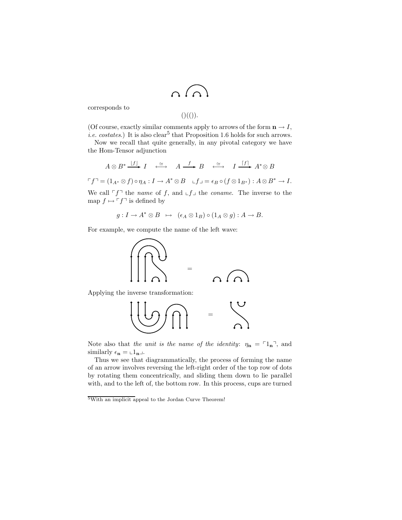$$
\cup \cup \cup
$$

corresponds to

$$
(\mathcal{C})(\mathcal{C})).
$$

(Of course, exactly similar comments apply to arrows of the form  $\mathbf{n} \to I$ , *i.e.* costates.) It is also clear<sup>5</sup> that Proposition 1.6 holds for such arrows.

Now we recall that quite generally, in any pivotal category we have the Hom-Tensor adjunction

$$
A \otimes B^* \xrightarrow{[f]} I \xrightarrow{\simeq} A \xrightarrow{f} B \xrightarrow{\simeq} I \xrightarrow{[f]} A^* \otimes B
$$

 $\ulcorner f\urcorner = (1_{A^*} \otimes f) \circ \eta_A : I \to A^* \otimes B \quad \ulcorner f \lrcorner = \epsilon_B \circ (f \otimes 1_{B^*}) : A \otimes B^* \to I.$ 

We call  $\ulcorner f \urcorner$  the *name* of f, and  $\ulcorner f \urcorner$  the *coname*. The inverse to the map  $f \mapsto \ulcorner f \urcorner$  is defined by

$$
g: I \to A^* \otimes B \ \mapsto \ (\epsilon_A \otimes 1_B) \circ (1_A \otimes g): A \to B.
$$

For example, we compute the name of the left wave:



Applying the inverse transformation:



Note also that the unit is the name of the identity:  $\eta_n = \ulcorner 1_n \urcorner$ , and similarly  $\epsilon_{\mathbf{n}} = \epsilon_{1} \mathbf{n} \mathbf{n}$ .

Thus we see that diagrammatically, the process of forming the name of an arrow involves reversing the left-right order of the top row of dots by rotating them concentrically, and sliding them down to lie parallel with, and to the left of, the bottom row. In this process, cups are turned

<sup>5</sup>With an implicit appeal to the Jordan Curve Theorem!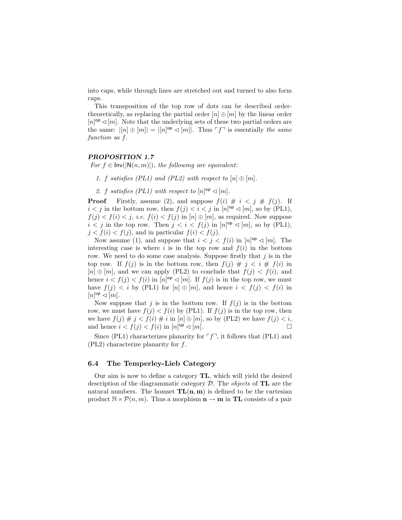into caps, while through lines are stretched out and turned to also form caps.

This transposition of the top row of dots can be described ordertheoretically, as replacing the partial order  $[n] \oplus [m]$  by the linear order  $[n]$ <sup>op</sup>  $\triangleleft[m]$ . Note that the underlying sets of these two partial orders are the same:  $|[n] \oplus [m]| = |[n]^{op} \triangleleft [m]|$ . Thus  $\ulcorner f \urcorner$  is essentially the same function as f.

### PROPOSITION 1.7

For  $f \in Inv(|N(n,m)|)$ , the following are equivalent:

1. f satisfies (PL1) and (PL2) with respect to  $[n] \oplus [m]$ .

2. f satisfies (PL1) with respect to  $[n]$ <sup>op</sup>  $\lhd$   $[m]$ .

**Proof** Firstly, assume (2), and suppose  $f(i) \# i \lt j \# f(j)$ . If  $i < j$  in the bottom row, then  $f(j) < i < j$  in  $[n]$ <sup>op</sup>  $\triangleleft [m]$ , so by (PL1),  $f(j) < f(i) < j$ , *i.e.*  $f(i) < f(j)$  in  $[n] \oplus [m]$ , as required. Now suppose  $i < j$  in the top row. Then  $j < i < f(j)$  in  $[n]$ <sup>op</sup>  $\triangleleft [m]$ , so by (PL1),  $j < f(i) < f(j)$ , and in particular  $f(i) < f(j)$ .

Now assume (1), and suppose that  $i < j < f(i)$  in  $[n]^{op} \triangleleft [m]$ . The interesting case is where i is in the top row and  $f(i)$  in the bottom row. We need to do some case analysis. Suppose firstly that  $j$  is in the top row. If  $f(j)$  is in the bottom row, then  $f(j) \# j \lt i \# f(i)$  in  $[n] \oplus [m]$ , and we can apply (PL2) to conclude that  $f(i) < f(i)$ , and hence  $i < f(j) < f(i)$  in  $[n]^{op} \triangleleft [m]$ . If  $f(j)$  is in the top row, we must have  $f(j) < i$  by (PL1) for  $[n] \oplus [m]$ , and hence  $i < f(j) < f(i)$  in  $[n]^\mathsf{op} \triangleleft [m].$ 

Now suppose that j is in the bottom row. If  $f(j)$  is in the bottom row, we must have  $f(j) < f(i)$  by (PL1). If  $f(j)$  is in the top row, then we have  $f(j) \# j < f(i) \# i$  in  $[n] \oplus [m]$ , so by (PL2) we have  $f(j) < i$ , and hence  $i < f(j) < f(i)$  in  $[n]$ <sup>op</sup>  $\lhd [m]$ .

Since (PL1) characterizes planarity for  $\ulcorner f \urcorner$ , it follows that (PL1) and  $(PL2)$  characterize planarity for f.

#### 6.4 The Temperley-Lieb Category

Our aim is now to define a category TL, which will yield the desired description of the diagrammatic category  $\mathcal{D}$ . The *objects* of **TL** are the natural numbers. The homset  $TL(n, m)$  is defined to be the cartesian product  $\mathbb{N} \times \mathcal{P}(n, m)$ . Thus a morphism  $\mathbf{n} \to \mathbf{m}$  in TL consists of a pair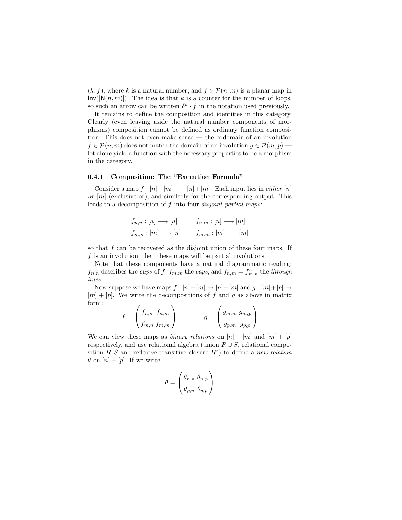$(k, f)$ , where k is a natural number, and  $f \in \mathcal{P}(n, m)$  is a planar map in  $\textsf{Inv}(|\mathsf{N}(n,m)|)$ . The idea is that k is a counter for the number of loops, so such an arrow can be written  $\delta^k \cdot f$  in the notation used previously.

It remains to define the composition and identities in this category. Clearly (even leaving aside the natural number components of morphisms) composition cannot be defined as ordinary function composition. This does not even make sense — the codomain of an involution  $f \in \mathcal{P}(n,m)$  does not match the domain of an involution  $g \in \mathcal{P}(m,p)$ . let alone yield a function with the necessary properties to be a morphism in the category.

# 6.4.1 Composition: The "Execution Formula"

Consider a map  $f : [n]+[m] \longrightarrow [n]+[m]$ . Each input lies in *either* [n] or  $[m]$  (exclusive or), and similarly for the corresponding output. This leads to a decomposition of f into four *disjoint partial maps*:

$$
f_{n,n} : [n] \longrightarrow [n] \qquad f_{n,m} : [n] \longrightarrow [m]
$$

$$
f_{m,n} : [m] \longrightarrow [n] \qquad f_{m,m} : [m] \longrightarrow [m]
$$

so that  $f$  can be recovered as the disjoint union of these four maps. If f is an involution, then these maps will be partial involutions.

Note that these components have a natural diagrammatic reading:  $f_{n,n}$  describes the *cups* of f,  $f_{m,m}$  the *caps*, and  $f_{n,m} = f_{m,n}^c$  the *through* lines.

Now suppose we have maps  $f : [n]+[m] \to [n]+[m]$  and  $g : [m]+[p] \to$  $[m] + [p]$ . We write the decompositions of f and g as above in matrix form:  $\overline{ }$ 

$$
f = \begin{pmatrix} f_{n,n} & f_{n,m} \\ f_{m,n} & f_{m,m} \end{pmatrix} \qquad g = \begin{pmatrix} g_{m,m} & g_{m,p} \\ g_{p,m} & g_{p,p} \end{pmatrix}
$$

We can view these maps as *binary relations* on  $[n] + [m]$  and  $[m] + [p]$ respectively, and use relational algebra (union  $R \cup S$ , relational composition  $R; S$  and reflexive transitive closure  $R^*$ ) to define a new relation  $\theta$  on  $[n] + [p]$ . If we write

$$
\theta = \begin{pmatrix} \theta_{n,n} & \theta_{n,p} \\ \theta_{p,n} & \theta_{p,p} \end{pmatrix}
$$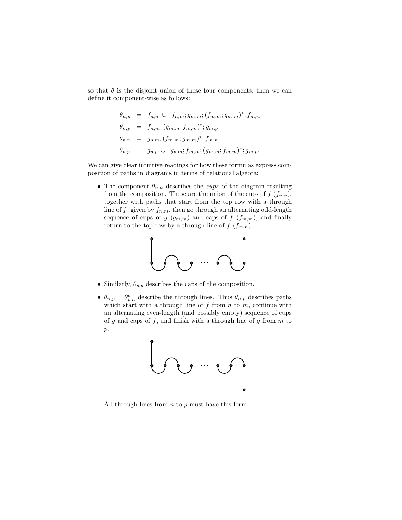so that  $\theta$  is the disjoint union of these four components, then we can define it component-wise as follows:

$$
\theta_{n,n} = f_{n,n} \cup f_{n,m}; g_{m,m}; (f_{m,m}; g_{m,m})^*; f_{m,n}
$$
  
\n
$$
\theta_{n,p} = f_{n,m}; (g_{m,m}; f_{m,m})^*; g_{m,p}
$$
  
\n
$$
\theta_{p,n} = g_{p,m}; (f_{m,m}; g_{m,m})^*; f_{m,n}
$$
  
\n
$$
\theta_{p,p} = g_{p,p} \cup g_{p,m}; f_{m,m}; (g_{m,m}; f_{m,m})^*; g_{m,p}.
$$

We can give clear intuitive readings for how these formulas express composition of paths in diagrams in terms of relational algebra:

• The component  $\theta_{n,n}$  describes the *cups* of the diagram resulting from the composition. These are the union of the cups of  $f(f_{n,n}),$ together with paths that start from the top row with a through line of f, given by  $f_{n,m}$ , then go through an alternating odd-length sequence of cups of g  $(g_{m,m})$  and caps of f  $(f_{m,m})$ , and finally return to the top row by a through line of  $f(f_{m,n})$ .



- Similarly,  $\theta_{p,p}$  describes the caps of the composition.
- $\theta_{n,p} = \theta_{p,n}^c$  describe the through lines. Thus  $\theta_{n,p}$  describes paths which start with a through line of  $f$  from  $n$  to  $m$ , continue with an alternating even-length (and possibly empty) sequence of cups of g and caps of f, and finish with a through line of g from  $m$  to p.



All through lines from  $n$  to  $p$  must have this form.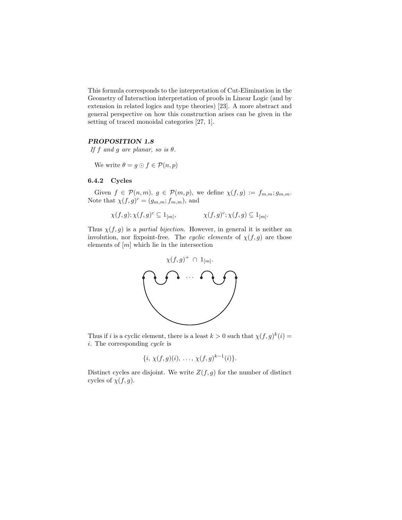This formula corresponds to the interpretation of Cut-Elimination in the Geometry of Interaction interpretation of proofs in Linear Logic (and by extension in related logics and type theories) [23]. A more abstract and general perspective on how this construction arises can be given in the setting of traced monoidal categories [27, 1].

## PROPOSITION 1.8

If f and g are planar, so is  $\theta$ .

We write  $\theta = g \odot f \in \mathcal{P}(n, p)$ 

# 6.4.2 Cycles

Given  $f \in \mathcal{P}(n,m)$ ,  $g \in \mathcal{P}(m,p)$ , we define  $\chi(f,g) := f_{m,m}$ ;  $g_{m,m}$ . Note that  $\chi(f,g)^c = (g_{m,m};f_{m,m})$ , and

$$
\chi(f,g); \chi(f,g)^c \subseteq 1_{[m]}, \qquad \qquad \chi(f,g)^c; \chi(f,g) \subseteq 1_{[m]}.
$$

Thus  $\chi(f, g)$  is a partial bijection. However, in general it is neither an involution, nor fixpoint-free. The cyclic elements of  $\chi(f, g)$  are those elements of  $[m]$  which lie in the intersection



Thus if i is a cyclic element, there is a least  $k > 0$  such that  $\chi(f, g)^k(i) =$ i. The corresponding cycle is

$$
\{i, \, \chi(f,g)(i), \, \ldots, \, \chi(f,g)^{k-1}(i)\}.
$$

Distinct cycles are disjoint. We write  $Z(f, g)$  for the number of distinct cycles of  $\chi(f, g)$ .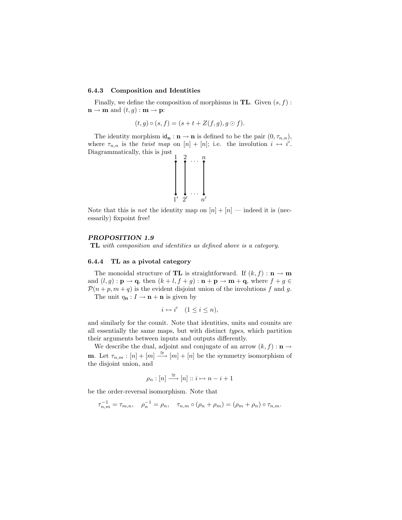#### 6.4.3 Composition and Identities

Finally, we define the composition of morphisms in  $TL$ . Given  $(s, f)$ :  $\mathbf{n} \to \mathbf{m}$  and  $(t, g) : \mathbf{m} \to \mathbf{p}$ :

$$
(t,g)\circ (s,f)=(s+t+Z(f,g),g\odot f).
$$

The identity morphism  $id_n : n \to n$  is defined to be the pair  $(0, \tau_{n,n}),$ where  $\tau_{n,n}$  is the *twist map* on  $[n] + [n]$ ; i.e. the involution  $i \leftrightarrow i'$ . Diagrammatically, this is just



Note that this is *not* the identity map on  $[n] + [n]$  — indeed it is (necessarily) fixpoint free!

#### PROPOSITION 1.9

TL with composition and identities as defined above is a category.

#### 6.4.4 TL as a pivotal category

The monoidal structure of **TL** is straightforward. If  $(k, f) : \mathbf{n} \to \mathbf{m}$ and  $(l, g) : \mathbf{p} \to \mathbf{q}$ , then  $(k+l, f+g) : \mathbf{n} + \mathbf{p} \to \mathbf{m} + \mathbf{q}$ , where  $f + g \in$  $\mathcal{P}(n+p, m+q)$  is the evident disjoint union of the involutions f and g. The unit  $\eta_{\mathbf{n}} : I \to \mathbf{n} + \mathbf{n}$  is given by

$$
i \leftrightarrow i' \quad (1 \le i \le n),
$$

and similarly for the counit. Note that identities, units and counits are all essentially the same maps, but with distinct types, which partition their arguments between inputs and outputs differently.

We describe the dual, adjoint and conjugate of an arrow  $(k, f) : \mathbf{n} \to$ **m**. Let  $\tau_{n,m} : [n] + [m] \stackrel{\cong}{\longrightarrow} [m] + [n]$  be the symmetry isomorphism of the disjoint union, and

$$
\rho_n : [n] \xrightarrow{\cong} [n] :: i \mapsto n - i + 1
$$

be the order-reversal isomorphism. Note that

$$
\tau_{n,m}^{-1} = \tau_{m,n}, \quad \rho_n^{-1} = \rho_n, \quad \tau_{n,m} \circ (\rho_n + \rho_m) = (\rho_m + \rho_n) \circ \tau_{n,m}.
$$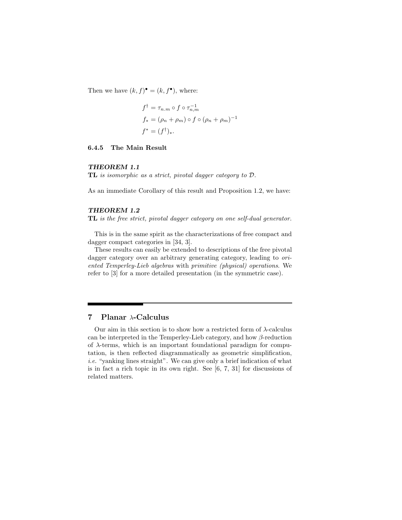Then we have  $(k, f)^{\bullet} = (k, f^{\bullet})$ , where:

$$
f^{\dagger} = \tau_{n.m} \circ f \circ \tau_{n,m}^{-1}
$$
  

$$
f_* = (\rho_n + \rho_m) \circ f \circ (\rho_n + \rho_m)^{-1}
$$
  

$$
f^* = (f^{\dagger})_*
$$
.

# 6.4.5 The Main Result

#### THEOREM 1.1

TL is isomorphic as a strict, pivotal dagger category to D.

As an immediate Corollary of this result and Proposition 1.2, we have:

# THEOREM 1.2

TL is the free strict, pivotal dagger category on one self-dual generator.

This is in the same spirit as the characterizations of free compact and dagger compact categories in [34, 3].

These results can easily be extended to descriptions of the free pivotal dagger category over an arbitrary generating category, leading to *ori*ented Temperley-Lieb algebras with primitive (physical) operations. We refer to [3] for a more detailed presentation (in the symmetric case).

# 7 Planar λ-Calculus

Our aim in this section is to show how a restricted form of  $\lambda$ -calculus can be interpreted in the Temperley-Lieb category, and how  $\beta$ -reduction of  $\lambda$ -terms, which is an important foundational paradigm for computation, is then reflected diagrammatically as geometric simplification, i.e. "yanking lines straight". We can give only a brief indication of what is in fact a rich topic in its own right. See [6, 7, 31] for discussions of related matters.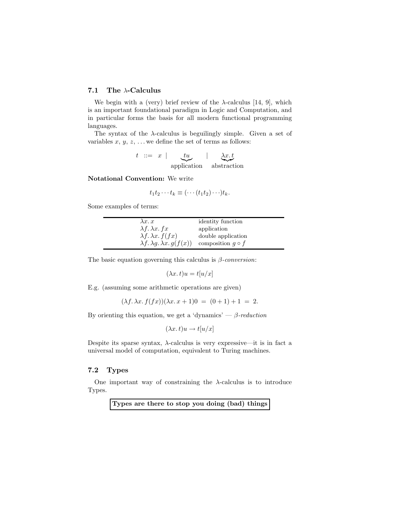# 7.1 The λ-Calculus

We begin with a (very) brief review of the  $\lambda$ -calculus [14, 9], which is an important foundational paradigm in Logic and Computation, and in particular forms the basis for all modern functional programming languages.

The syntax of the  $\lambda$ -calculus is beguilingly simple. Given a set of variables  $x, y, z, \ldots$  we define the set of terms as follows:

$$
t \ ::= \ x \ | \ \underbrace{tu}_{\text{application}} \ | \ \underbrace{\lambda x . t}_{\text{abstraction}}
$$

Notational Convention: We write

$$
t_1t_2\cdots t_k\equiv (\cdots (t_1t_2)\cdots)t_k.
$$

Some examples of terms:

| $\lambda x. x$                             | identity function       |
|--------------------------------------------|-------------------------|
| $\lambda f. \lambda x. fx$                 | application             |
| $\lambda f. \lambda x. f(fx)$              | double application      |
| $\lambda f. \lambda g. \lambda x. g(f(x))$ | composition $q \circ f$ |

The basic equation governing this calculus is  $\beta$ -conversion:

$$
(\lambda x. t)u = t[u/x]
$$

E.g. (assuming some arithmetic operations are given)

$$
(\lambda f. \lambda x. f(fx))(\lambda x. x + 1)0 = (0+1) + 1 = 2.
$$

By orienting this equation, we get a 'dynamics' —  $\beta$ -reduction

$$
(\lambda x. t)u \to t[u/x]
$$

Despite its sparse syntax,  $\lambda$ -calculus is very expressive—it is in fact a universal model of computation, equivalent to Turing machines.

# 7.2 Types

One important way of constraining the  $\lambda$ -calculus is to introduce Types.

Types are there to stop you doing (bad) things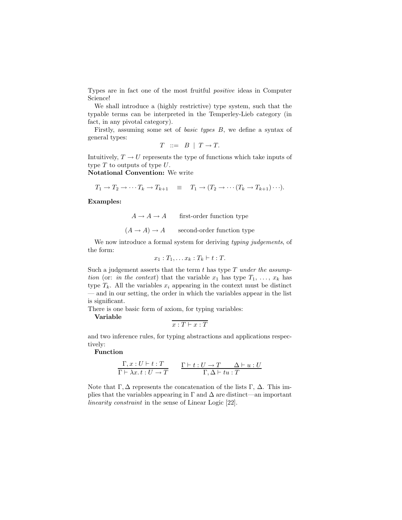Types are in fact one of the most fruitful positive ideas in Computer Science!

We shall introduce a (highly restrictive) type system, such that the typable terms can be interpreted in the Temperley-Lieb category (in fact, in any pivotal category).

Firstly, assuming some set of basic types B, we define a syntax of general types:

$$
T \ ::= \ B \ | \ T \rightarrow T.
$$

Intuitively,  $T \to U$  represents the type of functions which take inputs of type  $T$  to outputs of type  $U$ .

Notational Convention: We write

$$
T_1 \to T_2 \to \cdots T_k \to T_{k+1} \equiv T_1 \to (T_2 \to \cdots (T_k \to T_{k+1}) \cdots).
$$

Examples:

 $A \rightarrow A \rightarrow A$  first-order function type

 $(A \rightarrow A) \rightarrow A$  second-order function type

We now introduce a formal system for deriving typing judgements, of the form:

$$
x_1: T_1, \ldots x_k: T_k \vdash t: T.
$$

Such a judgement asserts that the term  $t$  has type  $T$  under the assumption (or: in the context) that the variable  $x_1$  has type  $T_1, \ldots, x_k$  has type  $T_k$ . All the variables  $x_i$  appearing in the context must be distinct — and in our setting, the order in which the variables appear in the list is significant.

There is one basic form of axiom, for typing variables:

Variable

$$
x:T\vdash x:T
$$

and two inference rules, for typing abstractions and applications respectively:

# Function

$$
\frac{\Gamma, x: U \vdash t: T}{\Gamma \vdash \lambda x. t: U \to T} \qquad \frac{\Gamma \vdash t: U \to T \qquad \Delta \vdash u: U}{\Gamma, \Delta \vdash tu: T}
$$

Note that  $\Gamma$ ,  $\Delta$  represents the concatenation of the lists  $\Gamma$ ,  $\Delta$ . This implies that the variables appearing in  $\Gamma$  and  $\Delta$  are distinct—an important linearity constraint in the sense of Linear Logic [22].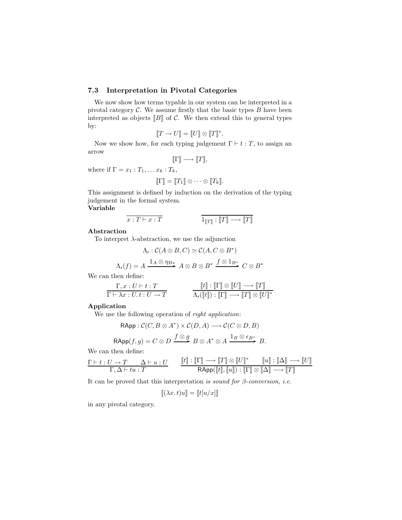# 7.3 Interpretation in Pivotal Categories

We now show how terms typable in our system can be interpreted in a pivotal category  $C$ . We assume firstly that the basic types  $B$  have been interpreted as objects  $[[B]]$  of C. We then extend this to general types by:

$$
[\![T \to U]\!] = [\![U]\!] \otimes [\![T]\!]^*.
$$

Now we show how, for each typing judgement  $\Gamma \vdash t : T$ , to assign an arrow

$$
[\![ \Gamma ]\!] \longrightarrow [\![ T ]\!],
$$

where if  $\Gamma = x_1 : T_1, \ldots x_k : T_k$ ,

$$
[\![\Gamma]\!] = [\![T_1]\!] \otimes \cdots \otimes [\![T_k]\!].
$$

This assignment is defined by induction on the derivation of the typing judgement in the formal system.

Variable

$$
\overline{x: T \vdash x : T}
$$
\n
$$
1_{\llbracket T \rrbracket} : \llbracket T \rrbracket \longrightarrow \llbracket T \rrbracket
$$

# Abstraction

To interpret  $\lambda$ -abstraction, we use the adjunction

$$
\Lambda_{r}: \mathcal{C}(A \otimes B, C) \simeq \mathcal{C}(A, C \otimes B^{*})
$$

$$
\Lambda_{r}(f) = A \xrightarrow{1_{A} \otimes \eta_{B^{*}}} A \otimes B \otimes B^{*} \xrightarrow{f \otimes 1_{B^{*}}} C \otimes B^{*}
$$

We can then define:

$$
\dfrac{\Gamma, x: U \vdash t: T}{\Gamma \vdash \lambda x: U. t: U \to T} \qquad \qquad \dfrac{\llbracket t \rrbracket: \llbracket \Gamma \rrbracket \otimes \llbracket U \rrbracket \longrightarrow \llbracket T \rrbracket}{\Lambda_{\mathsf{r}}(\llbracket t \rrbracket): \llbracket \Gamma \rrbracket \longrightarrow \llbracket T \rrbracket \otimes \llbracket U \rrbracket^*}
$$

#### Application

We use the following operation of *right application*:

$$
\mathsf{RApp} : \mathcal{C}(C, B \otimes A^*) \times \mathcal{C}(D, A) \longrightarrow \mathcal{C}(C \otimes D, B)
$$

$$
\mathsf{RApp}(f,g) = C \otimes D \xrightarrow{f \otimes g} B \otimes A^* \otimes A \xrightarrow{1_B \otimes \epsilon_{B^*}} B.
$$

We can then define:

$$
\frac{\Gamma\vdash t:U\to T\qquad \Delta\vdash u:U}{\Gamma,\Delta\vdash tu:T} \qquad \frac{[\![t]\!]\,:\,[\![\Gamma]\!]\longrightarrow [\![T]\!]\otimes [\![U]\!]^*\qquad [\![u]\!]\,:\,[\![\Delta]\!]\longrightarrow [\![U]\!]\qquad \qquad \\ \text{RApp}([\![t]\!], [\![u]\!]) : [\![\Gamma]\!]\otimes [\![\Delta]\!]\longrightarrow [\![T]\!]
$$

It can be proved that this interpretation is sound for  $\beta$ -conversion, i.e.

$$
[\![ (\lambda x. t)u]\!] = [\![ t[u/x]\!] ]
$$

in any pivotal category.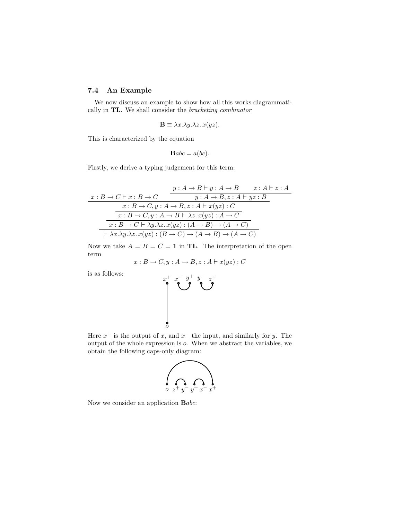# 7.4 An Example

We now discuss an example to show how all this works diagrammatically in TL. We shall consider the bracketing combinator

$$
\mathbf{B} \equiv \lambda x. \lambda y. \lambda z. x(yz).
$$

This is characterized by the equation

$$
\mathbf{B}abc = a(bc).
$$

Firstly, we derive a typing judgement for this term:

$$
x : B \to C \vdash x : B \to C
$$
  
\n
$$
y : A \to B \vdash y : A \to B \qquad z : A \vdash z : A
$$
  
\n
$$
x : B \to C, y : A \to B, z : A \vdash x(yz) : C
$$
  
\n
$$
x : B \to C, y : A \to B \vdash \lambda z. x(yz) : A \to C
$$
  
\n
$$
x : B \to C \vdash \lambda y. \lambda z. x(yz) : (A \to B) \to (A \to C)
$$
  
\n
$$
\vdash \lambda x. \lambda y. \lambda z. x(yz) : (B \to C) \to (A \to B) \to (A \to C)
$$

Now we take  $A = B = C = 1$  in TL. The interpretation of the open term

$$
x:B \to C, y:A \to B, z:A \vdash x(yz):C
$$

is as follows:

$$
\left(\bigcup_{\substack{a \in \mathbb{Z}^+\\ \vdots \\ a \in \mathbb{Z}^+}} \sum_{\substack{y \in \mathbb{Z}^+\\ \vdots \\ y \in \mathbb{Z}^+}} \sum_{\substack{z \in \mathbb{Z}^+\\ \vdots \\ z \in \mathbb{Z}^+}} \sum_{\substack{z \in \mathbb{Z}^+\\ \vdots \\ x \in \mathbb{Z}^+}} \sum_{\substack{z \in \mathbb{Z}^+\\ \vdots \\ z \in \mathbb{Z}^+}} \sum_{\substack{z \in \mathbb{Z}^+\\ \vdots \\ z \in \mathbb{Z}^+}} \sum_{\substack{z \in \mathbb{Z}^+\\ \vdots \\ z \in \mathbb{Z}^+}} \sum_{\substack{z \in \mathbb{Z}^+\\ \vdots \\ z \in \mathbb{Z}^+}} \sum_{\substack{z \in \mathbb{Z}^+\\ \vdots \\ z \in \mathbb{Z}^+}} \sum_{\substack{z \in \mathbb{Z}^+\\ \vdots \\ z \in \mathbb{Z}^+}} \sum_{\substack{z \in \mathbb{Z}^+\\ \vdots \\ z \in \mathbb{Z}^+}} \sum_{\substack{z \in \mathbb{Z}^+\\ \vdots \\ z \in \mathbb{Z}^+}} \sum_{\substack{z \in \mathbb{Z}^+\\ \vdots \\ z \in \mathbb{Z}^+}} \sum_{\substack{z \in \mathbb{Z}^+\\ \vdots \\ z \in \mathbb{Z}^+}} \sum_{\substack{z \in \mathbb{Z}^+\\ \vdots \\ z \in \mathbb{Z}^+}} \sum_{\substack{z \in \mathbb{Z}^+\\ \vdots \\ z \in \mathbb{Z}^+}} \sum_{\substack{z \in \mathbb{Z}^+\\ \vdots \\ z \in \mathbb{Z}^+}} \sum_{\substack{z \in \mathbb{Z}^+\\ \vdots \\ z \in \mathbb{Z}^+}} \sum_{\substack{z \in \mathbb{Z}^+\\ \vdots \\ z \in \mathbb{Z}^+}} \sum_{\substack{z \in \mathbb{Z}^+\\ \vdots \\ z \in \mathbb{Z}^+}} \sum_{\substack{z \in \mathbb{Z}^+\\ \vdots \\ z \in \mathbb{Z}^+}} \sum_{\substack{z \in \mathbb{Z}^+\\ \vdots
$$

Here  $x^+$  is the output of x, and  $x^-$  the input, and similarly for y. The output of the whole expression is o. When we abstract the variables, we obtain the following caps-only diagram:



Now we consider an application Babc: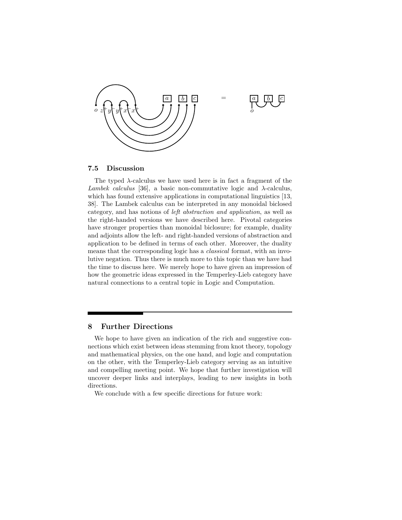

#### 7.5 Discussion

The typed  $\lambda$ -calculus we have used here is in fact a fragment of the Lambek calculus [36], a basic non-commutative logic and  $\lambda$ -calculus, which has found extensive applications in computational linguistics [13, 38]. The Lambek calculus can be interpreted in any monoidal biclosed category, and has notions of left abstraction and application, as well as the right-handed versions we have described here. Pivotal categories have stronger properties than monoidal biclosure; for example, duality and adjoints allow the left- and right-handed versions of abstraction and application to be defined in terms of each other. Moreover, the duality means that the corresponding logic has a classical format, with an involutive negation. Thus there is much more to this topic than we have had the time to discuss here. We merely hope to have given an impression of how the geometric ideas expressed in the Temperley-Lieb category have natural connections to a central topic in Logic and Computation.

# 8 Further Directions

We hope to have given an indication of the rich and suggestive connections which exist between ideas stemming from knot theory, topology and mathematical physics, on the one hand, and logic and computation on the other, with the Temperley-Lieb category serving as an intuitive and compelling meeting point. We hope that further investigation will uncover deeper links and interplays, leading to new insights in both directions.

We conclude with a few specific directions for future work: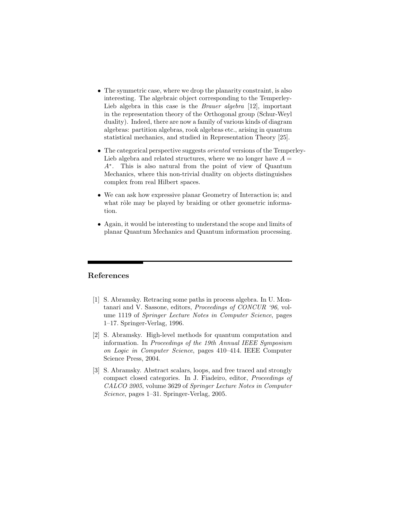- The symmetric case, where we drop the planarity constraint, is also interesting. The algebraic object corresponding to the Temperley-Lieb algebra in this case is the *Brauer algebra* [12], important in the representation theory of the Orthogonal group (Schur-Weyl duality). Indeed, there are now a family of various kinds of diagram algebras: partition algebras, rook algebras etc., arising in quantum statistical mechanics, and studied in Representation Theory [25].
- The categorical perspective suggests *oriented* versions of the Temperley-Lieb algebra and related structures, where we no longer have  $A =$ A<sup>∗</sup> . This is also natural from the point of view of Quantum Mechanics, where this non-trivial duality on objects distinguishes complex from real Hilbert spaces.
- We can ask how expressive planar Geometry of Interaction is; and what rôle may be played by braiding or other geometric information.
- Again, it would be interesting to understand the scope and limits of planar Quantum Mechanics and Quantum information processing.

# References

- [1] S. Abramsky. Retracing some paths in process algebra. In U. Montanari and V. Sassone, editors, Proceedings of CONCUR '96, volume 1119 of Springer Lecture Notes in Computer Science, pages 1–17. Springer-Verlag, 1996.
- [2] S. Abramsky. High-level methods for quantum computation and information. In Proceedings of the 19th Annual IEEE Symposium on Logic in Computer Science, pages 410–414. IEEE Computer Science Press, 2004.
- [3] S. Abramsky. Abstract scalars, loops, and free traced and strongly compact closed categories. In J. Fiadeiro, editor, Proceedings of CALCO 2005, volume 3629 of Springer Lecture Notes in Computer Science, pages 1–31. Springer-Verlag, 2005.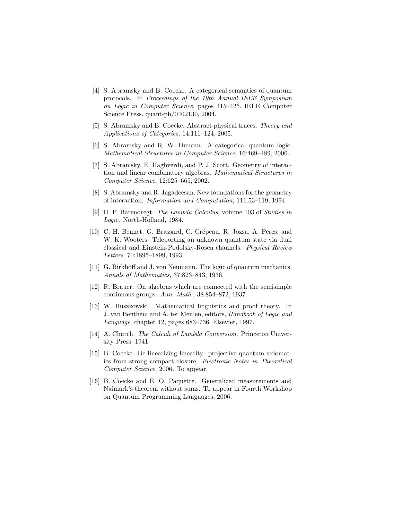- [4] S. Abramsky and B. Coecke. A categorical semantics of quantum protocols. In Proceedings of the 19th Annual IEEE Symposium on Logic in Computer Science, pages 415–425. IEEE Computer Science Press. quant-ph/0402130, 2004.
- [5] S. Abramsky and B. Coecke. Abstract physical traces. Theory and Applications of Categories, 14:111–124, 2005.
- [6] S. Abramsky and R. W. Duncan. A categorical quantum logic. Mathematical Structures in Computer Science, 16:469–489, 2006.
- [7] S. Abramsky, E. Haghverdi, and P. J. Scott. Geometry of interaction and linear combinatory algebras. Mathematical Structures in Computer Science, 12:625–665, 2002.
- [8] S. Abramsky and R. Jagadeesan. New foundations for the geometry of interaction. Information and Computation, 111:53–119, 1994.
- [9] H. P. Barendregt. The Lambda Calculus, volume 103 of Studies in Logic. North-Holland, 1984.
- [10] C. H. Bennet, G. Brassard, C. Crépeau, R. Jozsa, A. Peres, and W. K. Wooters. Teleporting an unknown quantum state via dual classical and Einstein-Podolsky-Rosen channels. Physical Review Letters, 70:1895–1899, 1993.
- [11] G. Birkhoff and J. von Neumann. The logic of quantum mechanics. Annals of Mathematics, 37:823–843, 1936.
- [12] R. Brauer. On algebras which are connected with the semisimple continuous groups. Ann. Math., 38:854–872, 1937.
- [13] W. Buszkowski. Mathematical linguistics and proof theory. In J. van Benthem and A. ter Meulen, editors, Handbook of Logic and Language, chapter 12, pages 683–736. Elsevier, 1997.
- [14] A. Church. *The Calculi of Lambda Conversion*. Princeton University Press, 1941.
- [15] B. Coecke. De-linearizing linearity: projective quantum axiomatics from strong compact closure. Electronic Notes in Theoretical Computer Science, 2006. To appear.
- [16] B. Coecke and E. O. Paquette. Generalized measurements and Naimark's theorem without sums. To appear in Fourth Workshop on Quantum Programming Languages, 2006.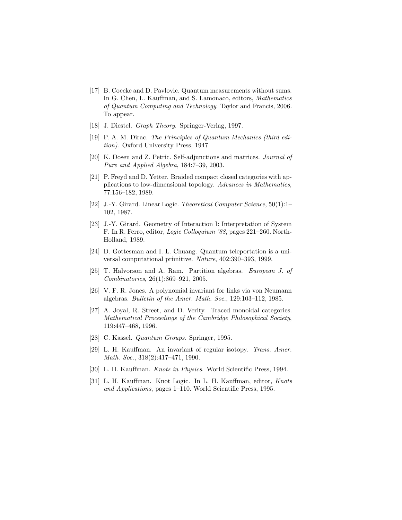- [17] B. Coecke and D. Pavlovic. Quantum measurements without sums. In G. Chen, L. Kauffman, and S. Lamonaco, editors, *Mathematics* of Quantum Computing and Technology. Taylor and Francis, 2006. To appear.
- [18] J. Diestel. Graph Theory. Springer-Verlag, 1997.
- [19] P. A. M. Dirac. The Principles of Quantum Mechanics (third edition). Oxford University Press, 1947.
- [20] K. Dosen and Z. Petric. Self-adjunctions and matrices. Journal of Pure and Applied Algebra, 184:7–39, 2003.
- [21] P. Freyd and D. Yetter. Braided compact closed categories with applications to low-dimensional topology. Advances in Mathematics, 77:156–182, 1989.
- [22] J.-Y. Girard. Linear Logic. Theoretical Computer Science, 50(1):1– 102, 1987.
- [23] J.-Y. Girard. Geometry of Interaction I: Interpretation of System F. In R. Ferro, editor, Logic Colloquium '88, pages 221–260. North-Holland, 1989.
- [24] D. Gottesman and I. L. Chuang. Quantum teleportation is a universal computational primitive. Nature, 402:390–393, 1999.
- [25] T. Halvorson and A. Ram. Partition algebras. European J. of Combinatorics, 26(1):869–921, 2005.
- [26] V. F. R. Jones. A polynomial invariant for links via von Neumann algebras. Bulletin of the Amer. Math. Soc., 129:103–112, 1985.
- [27] A. Joyal, R. Street, and D. Verity. Traced monoidal categories. Mathematical Proceedings of the Cambridge Philosophical Society, 119:447–468, 1996.
- [28] C. Kassel. Quantum Groups. Springer, 1995.
- [29] L. H. Kauffman. An invariant of regular isotopy. Trans. Amer. Math. Soc., 318(2):417–471, 1990.
- [30] L. H. Kauffman. Knots in Physics. World Scientific Press, 1994.
- [31] L. H. Kauffman. Knot Logic. In L. H. Kauffman, editor, Knots and Applications, pages 1–110. World Scientific Press, 1995.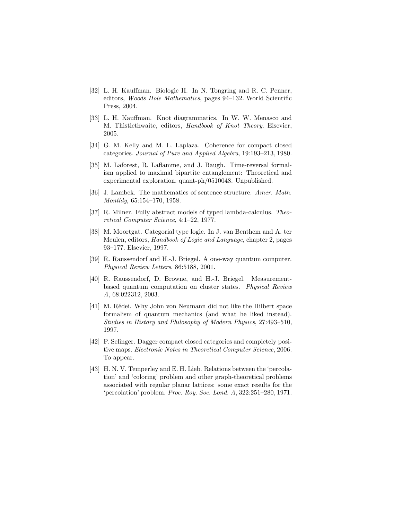- [32] L. H. Kauffman. Biologic II. In N. Tongring and R. C. Penner, editors, Woods Hole Mathematics, pages 94–132. World Scientific Press, 2004.
- [33] L. H. Kauffman. Knot diagrammatics. In W. W. Menasco and M. Thistlethwaite, editors, Handbook of Knot Theory. Elsevier, 2005.
- [34] G. M. Kelly and M. L. Laplaza. Coherence for compact closed categories. Journal of Pure and Applied Algebra, 19:193–213, 1980.
- [35] M. Laforest, R. Laflamme, and J. Baugh. Time-reversal formalism applied to maximal bipartite entanglement: Theoretical and experimental exploration. quant-ph/0510048. Unpublished.
- [36] J. Lambek. The mathematics of sentence structure. Amer. Math. Monthly, 65:154–170, 1958.
- [37] R. Milner. Fully abstract models of typed lambda-calculus. Theoretical Computer Science, 4:1–22, 1977.
- [38] M. Moortgat. Categorial type logic. In J. van Benthem and A. ter Meulen, editors, Handbook of Logic and Language, chapter 2, pages 93–177. Elsevier, 1997.
- [39] R. Raussendorf and H.-J. Briegel. A one-way quantum computer. Physical Review Letters, 86:5188, 2001.
- [40] R. Raussendorf, D. Browne, and H.-J. Briegel. Measurementbased quantum computation on cluster states. Physical Review A, 68:022312, 2003.
- [41] M. Rédei. Why John von Neumann did not like the Hilbert space formalism of quantum mechanics (and what he liked instead). Studies in History and Philosophy of Modern Physics, 27:493–510, 1997.
- [42] P. Selinger. Dagger compact closed categories and completely positive maps. Electronic Notes in Theoretical Computer Science, 2006. To appear.
- [43] H. N. V. Temperley and E. H. Lieb. Relations between the 'percolation' and 'coloring' problem and other graph-theoretical problems associated with regular planar lattices: some exact results for the 'percolation' problem. Proc. Roy. Soc. Lond. A, 322:251–280, 1971.